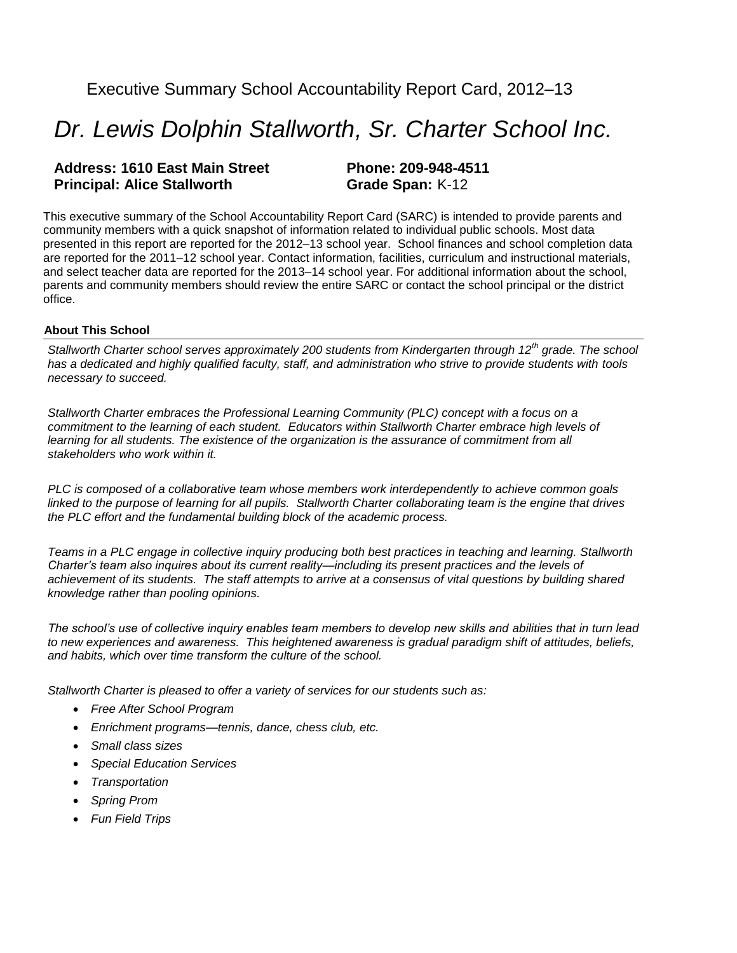## Executive Summary School Accountability Report Card, 2012–13

# *Dr. Lewis Dolphin Stallworth, Sr. Charter School Inc.*

#### **Address: 1610 East Main Street Phone: 209-948-4511 Principal: Alice Stallworth <b>Grade Span:** K-12

This executive summary of the School Accountability Report Card (SARC) is intended to provide parents and community members with a quick snapshot of information related to individual public schools. Most data presented in this report are reported for the 2012–13 school year. School finances and school completion data are reported for the 2011–12 school year. Contact information, facilities, curriculum and instructional materials, and select teacher data are reported for the 2013–14 school year. For additional information about the school, parents and community members should review the entire SARC or contact the school principal or the district office.

#### **About This School**

*Stallworth Charter school serves approximately 200 students from Kindergarten through 12th grade. The school has a dedicated and highly qualified faculty, staff, and administration who strive to provide students with tools necessary to succeed.* 

*Stallworth Charter embraces the Professional Learning Community (PLC) concept with a focus on a commitment to the learning of each student. Educators within Stallworth Charter embrace high levels of learning for all students. The existence of the organization is the assurance of commitment from all stakeholders who work within it.*

*PLC is composed of a collaborative team whose members work interdependently to achieve common goals linked to the purpose of learning for all pupils. Stallworth Charter collaborating team is the engine that drives the PLC effort and the fundamental building block of the academic process.*

*Teams in a PLC engage in collective inquiry producing both best practices in teaching and learning. Stallworth Charter's team also inquires about its current reality—including its present practices and the levels of achievement of its students. The staff attempts to arrive at a consensus of vital questions by building shared knowledge rather than pooling opinions.*

*The school's use of collective inquiry enables team members to develop new skills and abilities that in turn lead to new experiences and awareness. This heightened awareness is gradual paradigm shift of attitudes, beliefs, and habits, which over time transform the culture of the school.* 

*Stallworth Charter is pleased to offer a variety of services for our students such as:*

- *Free After School Program*
- *Enrichment programs—tennis, dance, chess club, etc.*
- *Small class sizes*
- *Special Education Services*
- *Transportation*
- *Spring Prom*
- *Fun Field Trips*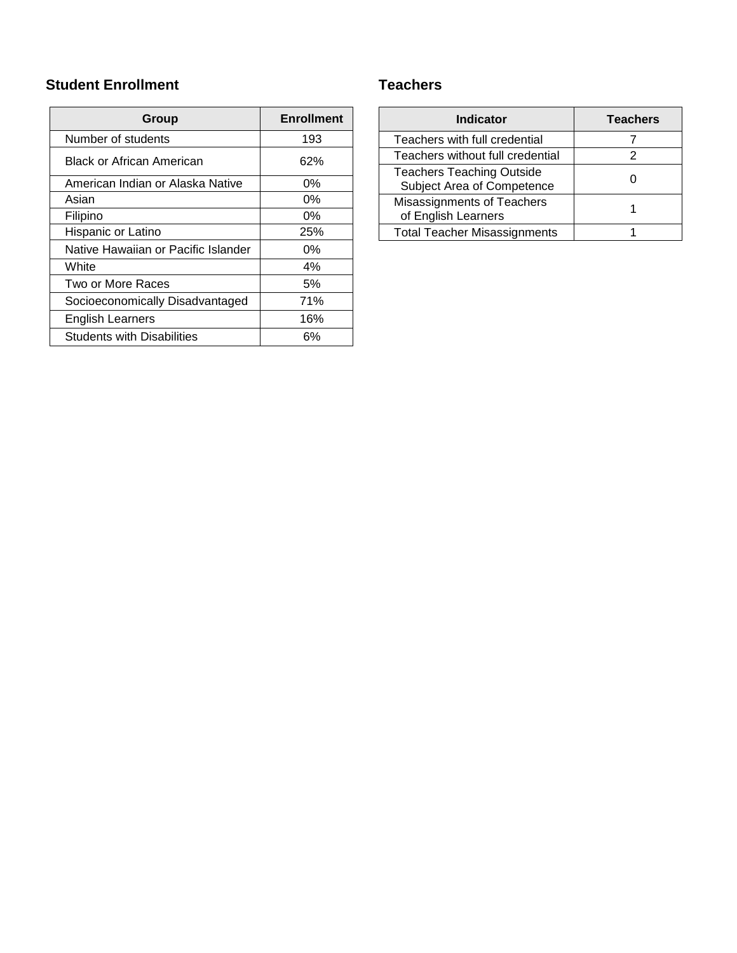### **Student Enrollment**

| Group                               | <b>Enrollment</b> |
|-------------------------------------|-------------------|
| Number of students                  | 193               |
| <b>Black or African American</b>    | 62%               |
| American Indian or Alaska Native    | 0%                |
| Asian                               | 0%                |
| Filipino                            | 0%                |
| Hispanic or Latino                  | 25%               |
| Native Hawaiian or Pacific Islander | 0%                |
| White                               | 4%                |
| Two or More Races                   | 5%                |
| Socioeconomically Disadvantaged     | 71%               |
| English Learners                    | 16%               |
| <b>Students with Disabilities</b>   | 6%                |

### **Teachers**

| <b>Indicator</b>                                               | <b>Teachers</b> |
|----------------------------------------------------------------|-----------------|
| Teachers with full credential                                  |                 |
| Teachers without full credential                               | 2               |
| <b>Teachers Teaching Outside</b><br>Subject Area of Competence |                 |
| Misassignments of Teachers<br>of English Learners              |                 |
| <b>Total Teacher Misassignments</b>                            |                 |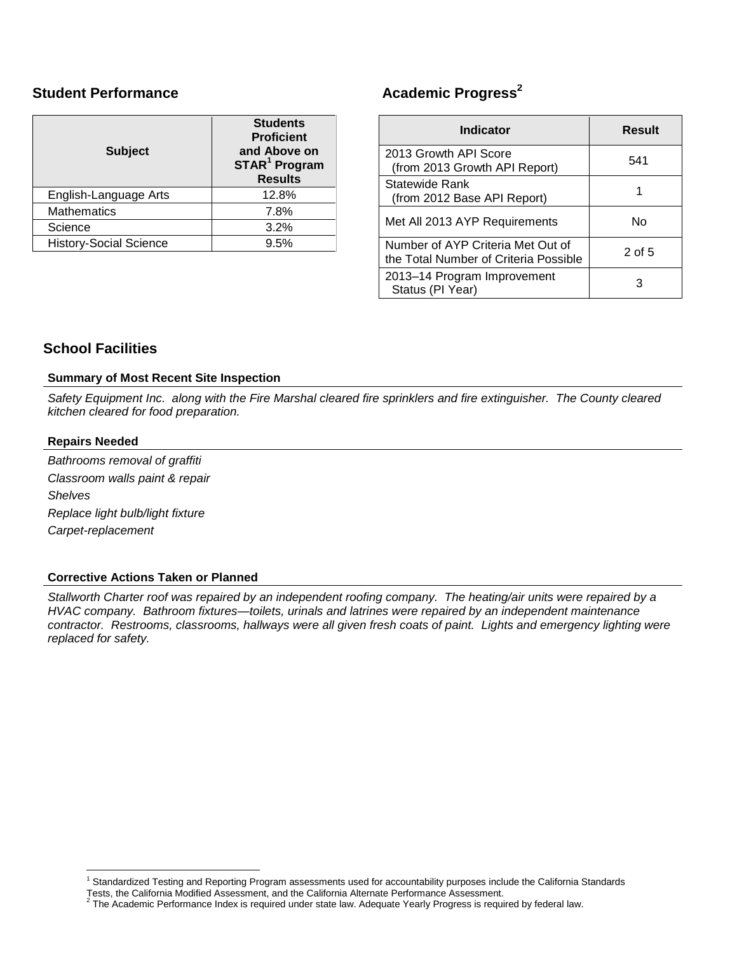### **Student Performance**

| <b>Subject</b>                | <b>Students</b><br><b>Proficient</b><br>and Above on<br>STAR <sup>1</sup> Program<br><b>Results</b> |  |  |
|-------------------------------|-----------------------------------------------------------------------------------------------------|--|--|
| English-Language Arts         | 12.8%                                                                                               |  |  |
| <b>Mathematics</b>            | 7.8%                                                                                                |  |  |
| Science                       | 3.2%                                                                                                |  |  |
| <b>History-Social Science</b> | 9.5%                                                                                                |  |  |

## **Academic Progress<sup>2</sup>**

| <b>Indicator</b>                                                           | Result   |  |  |
|----------------------------------------------------------------------------|----------|--|--|
| 2013 Growth API Score<br>(from 2013 Growth API Report)                     | 541      |  |  |
| Statewide Rank<br>(from 2012 Base API Report)                              |          |  |  |
| Met All 2013 AYP Requirements                                              | N٥       |  |  |
| Number of AYP Criteria Met Out of<br>the Total Number of Criteria Possible | $2$ of 5 |  |  |
| 2013-14 Program Improvement<br>Status (PI Year)                            | З        |  |  |

### **School Facilities**

#### **Summary of Most Recent Site Inspection**

*Safety Equipment Inc. along with the Fire Marshal cleared fire sprinklers and fire extinguisher. The County cleared kitchen cleared for food preparation.*

#### **Repairs Needed**

*Bathrooms removal of graffiti Classroom walls paint & repair Shelves Replace light bulb/light fixture Carpet-replacement*

#### **Corrective Actions Taken or Planned**

*Stallworth Charter roof was repaired by an independent roofing company. The heating/air units were repaired by a HVAC company. Bathroom fixtures—toilets, urinals and latrines were repaired by an independent maintenance contractor. Restrooms, classrooms, hallways were all given fresh coats of paint. Lights and emergency lighting were replaced for safety.* 

 $\overline{a}$ <sup>1</sup> Standardized Testing and Reporting Program assessments used for accountability purposes include the California Standards

Tests, the California Modified Assessment, and the California Alternate Performance Assessment.

 $^2$  The Academic Performance Index is required under state law. Adequate Yearly Progress is required by federal law.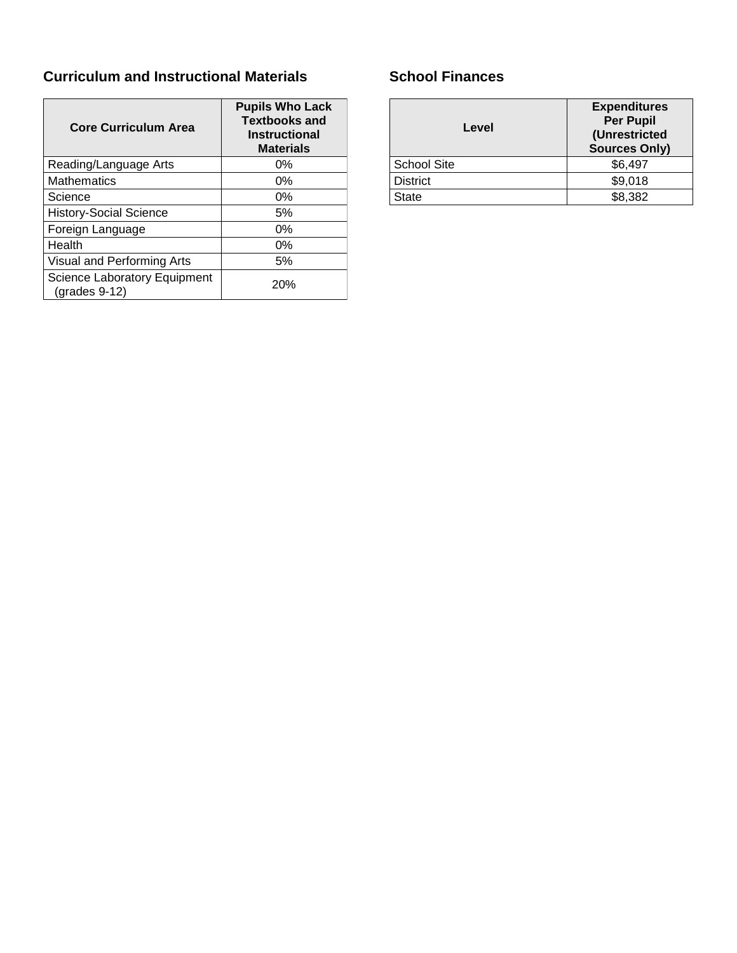## **Curriculum and Instructional Materials**

| <b>Core Curriculum Area</b>                            | <b>Pupils Who Lack</b><br><b>Textbooks and</b><br><b>Instructional</b><br><b>Materials</b> |
|--------------------------------------------------------|--------------------------------------------------------------------------------------------|
| Reading/Language Arts                                  | 0%                                                                                         |
| <b>Mathematics</b>                                     | $0\%$                                                                                      |
| Science                                                | 0%                                                                                         |
| <b>History-Social Science</b>                          | 5%                                                                                         |
| Foreign Language                                       | 0%                                                                                         |
| Health                                                 | 0%                                                                                         |
| Visual and Performing Arts                             | 5%                                                                                         |
| <b>Science Laboratory Equipment</b><br>$(grades 9-12)$ | 20%                                                                                        |

## **School Finances**

| Level              | <b>Expenditures</b><br><b>Per Pupil</b><br>(Unrestricted<br><b>Sources Only)</b> |  |
|--------------------|----------------------------------------------------------------------------------|--|
| <b>School Site</b> | \$6,497                                                                          |  |
| <b>District</b>    | \$9,018                                                                          |  |
| State              | \$8,382                                                                          |  |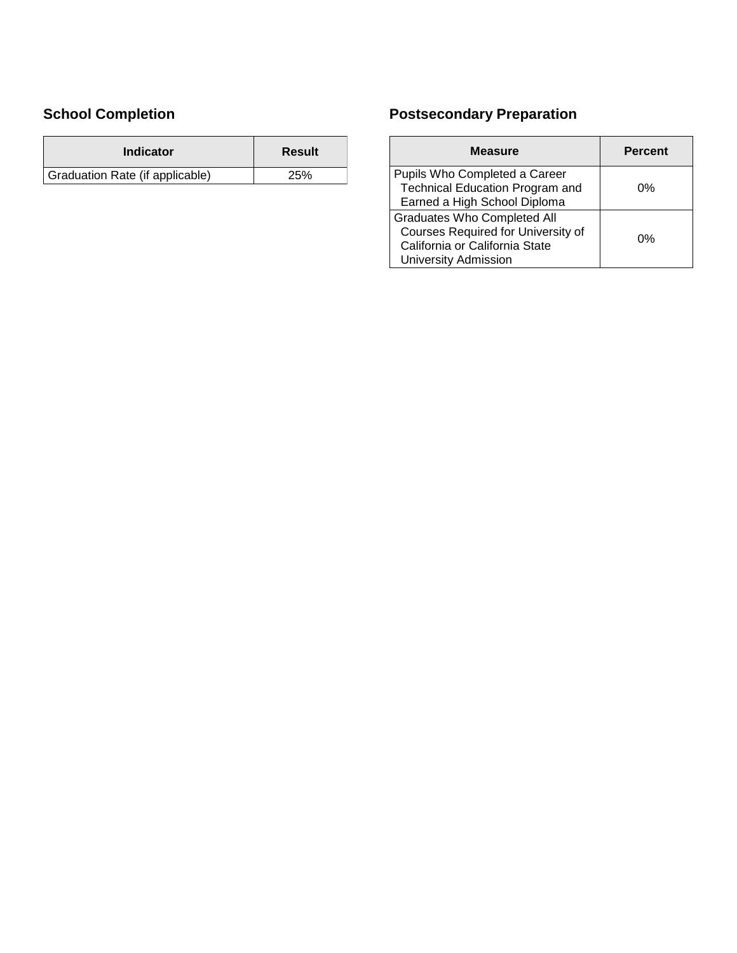## **School Completion**

| Indicator                       | Result     |  |
|---------------------------------|------------|--|
| Graduation Rate (if applicable) | <b>25%</b> |  |

## **Postsecondary Preparation**

| Measure                                                                                                                                   | <b>Percent</b> |
|-------------------------------------------------------------------------------------------------------------------------------------------|----------------|
| Pupils Who Completed a Career<br><b>Technical Education Program and</b><br>Earned a High School Diploma                                   | 0%             |
| <b>Graduates Who Completed All</b><br>Courses Required for University of<br>California or California State<br><b>University Admission</b> | 0%             |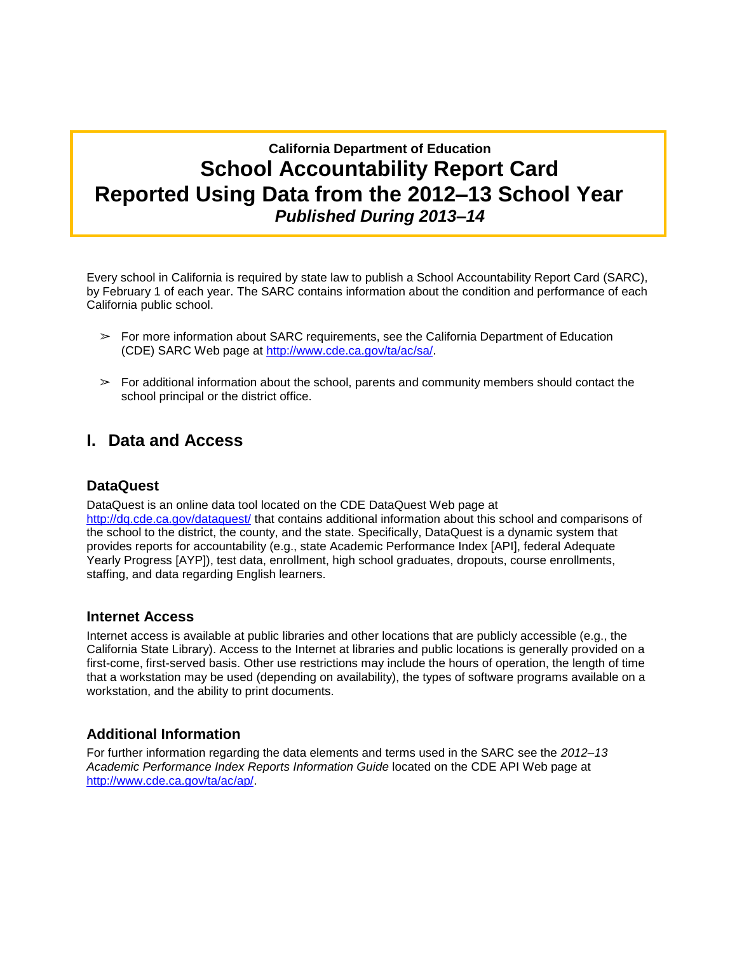## **California Department of Education School Accountability Report Card Reported Using Data from the 2012–13 School Year** *Published During 2013–14*

Every school in California is required by state law to publish a School Accountability Report Card (SARC), by February 1 of each year. The SARC contains information about the condition and performance of each California public school.

- $\triangleright$  For more information about SARC requirements, see the California Department of Education (CDE) SARC Web page at [http://www.cde.ca.gov/ta/ac/sa/.](http://www.cde.ca.gov/ta/ac/sa/)
- $\triangleright$  For additional information about the school, parents and community members should contact the school principal or the district office.

## **I. Data and Access**

### **DataQuest**

DataQuest is an online data tool located on the CDE DataQuest Web page at <http://dq.cde.ca.gov/dataquest/> that contains additional information about this school and comparisons of the school to the district, the county, and the state. Specifically, DataQuest is a dynamic system that provides reports for accountability (e.g., state Academic Performance Index [API], federal Adequate Yearly Progress [AYP]), test data, enrollment, high school graduates, dropouts, course enrollments, staffing, and data regarding English learners.

#### **Internet Access**

Internet access is available at public libraries and other locations that are publicly accessible (e.g., the California State Library). Access to the Internet at libraries and public locations is generally provided on a first-come, first-served basis. Other use restrictions may include the hours of operation, the length of time that a workstation may be used (depending on availability), the types of software programs available on a workstation, and the ability to print documents.

### **Additional Information**

For further information regarding the data elements and terms used in the SARC see the *2012–13 Academic Performance Index Reports Information Guide* located on the CDE API Web page at [http://www.cde.ca.gov/ta/ac/ap/.](http://www.cde.ca.gov/ta/ac/ap/)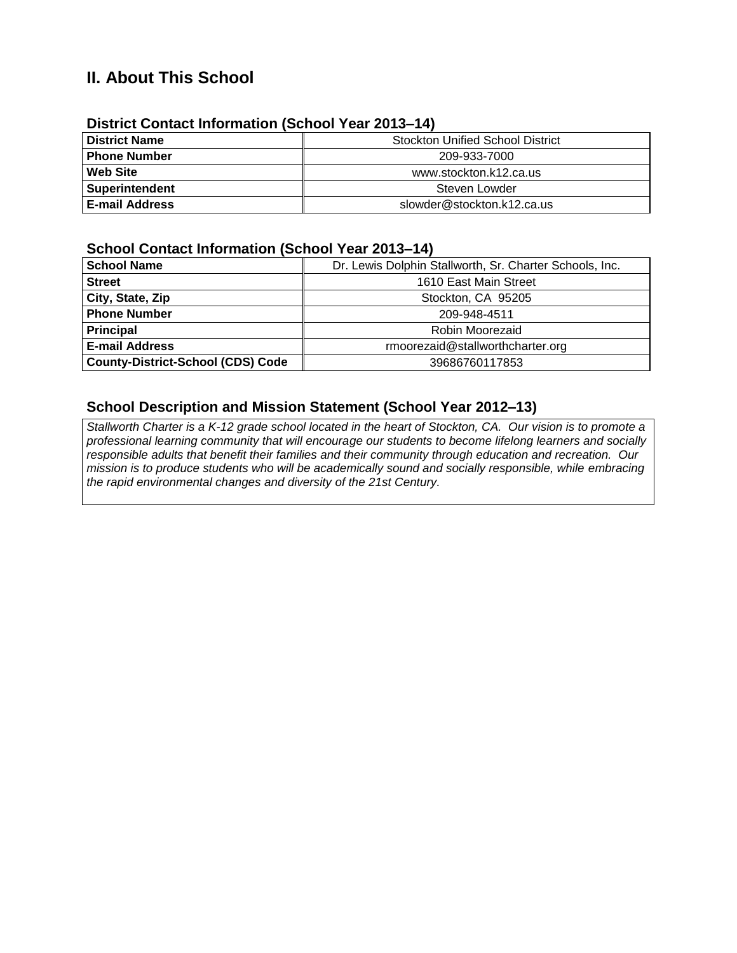## **II. About This School**

| <u>DISTRICT COMMON MINORMALIQUE (SCHOOL FEAL ZUTS-14)</u> |                                         |  |  |  |  |
|-----------------------------------------------------------|-----------------------------------------|--|--|--|--|
| <b>District Name</b>                                      | <b>Stockton Unified School District</b> |  |  |  |  |
| <b>Phone Number</b>                                       | 209-933-7000                            |  |  |  |  |
| <b>Web Site</b>                                           | www.stockton.k12.ca.us                  |  |  |  |  |
| <b>Superintendent</b>                                     | Steven Lowder                           |  |  |  |  |
| <b>E-mail Address</b>                                     | slowder@stockton.k12.ca.us              |  |  |  |  |

### **District Contact Information (School Year 2013–14)**

### **School Contact Information (School Year 2013–14)**

| <b>School Name</b>                       | Dr. Lewis Dolphin Stallworth, Sr. Charter Schools, Inc. |  |  |  |
|------------------------------------------|---------------------------------------------------------|--|--|--|
| <b>Street</b>                            | 1610 East Main Street                                   |  |  |  |
| City, State, Zip                         | Stockton, CA 95205                                      |  |  |  |
| <b>Phone Number</b>                      | 209-948-4511                                            |  |  |  |
| <b>Principal</b>                         | Robin Moorezaid                                         |  |  |  |
| <b>E-mail Address</b>                    | rmoorezaid@stallworthcharter.org                        |  |  |  |
| <b>County-District-School (CDS) Code</b> | 39686760117853                                          |  |  |  |

### **School Description and Mission Statement (School Year 2012–13)**

*Stallworth Charter is a K-12 grade school located in the heart of Stockton, CA. Our vision is to promote a professional learning community that will encourage our students to become lifelong learners and socially responsible adults that benefit their families and their community through education and recreation. Our mission is to produce students who will be academically sound and socially responsible, while embracing the rapid environmental changes and diversity of the 21st Century.*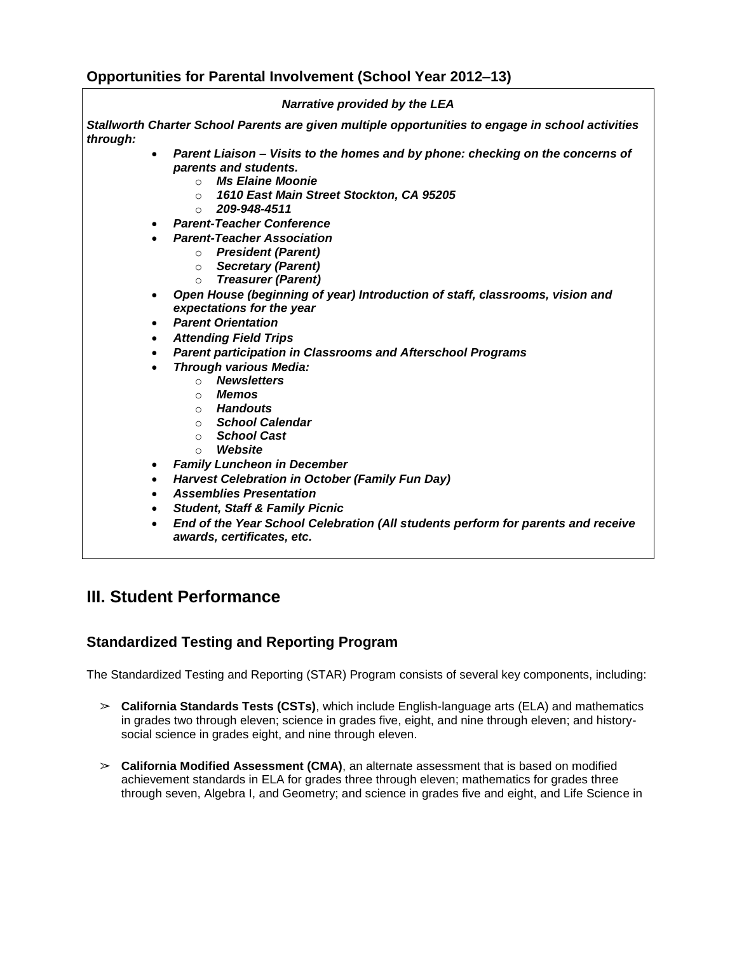### **Opportunities for Parental Involvement (School Year 2012–13)**

#### *Narrative provided by the LEA*

*Stallworth Charter School Parents are given multiple opportunities to engage in school activities through:*

- *Parent Liaison – Visits to the homes and by phone: checking on the concerns of parents and students.*
	- o *Ms Elaine Moonie*
	- o *1610 East Main Street Stockton, CA 95205*
	- o *209-948-4511*
- *Parent-Teacher Conference*
- *Parent-Teacher Association*
	- o *President (Parent)*
		- o *Secretary (Parent)*
		- o *Treasurer (Parent)*
- *Open House (beginning of year) Introduction of staff, classrooms, vision and expectations for the year*
- *Parent Orientation*
- *Attending Field Trips*
- *Parent participation in Classrooms and Afterschool Programs*
- *Through various Media:*
	- o *Newsletters*
	- o *Memos*
	- o *Handouts*
	- o *School Calendar*
	- o *School Cast*
	- o *Website*
- *Family Luncheon in December*
- *Harvest Celebration in October (Family Fun Day)*
- *Assemblies Presentation*
- *Student, Staff & Family Picnic*
- *End of the Year School Celebration (All students perform for parents and receive awards, certificates, etc.*

## **III. Student Performance**

### **Standardized Testing and Reporting Program**

The Standardized Testing and Reporting (STAR) Program consists of several key components, including:

- ➢ **California Standards Tests (CSTs)**, which include English-language arts (ELA) and mathematics in grades two through eleven; science in grades five, eight, and nine through eleven; and historysocial science in grades eight, and nine through eleven.
- ➢ **California Modified Assessment (CMA)**, an alternate assessment that is based on modified achievement standards in ELA for grades three through eleven; mathematics for grades three through seven, Algebra I, and Geometry; and science in grades five and eight, and Life Science in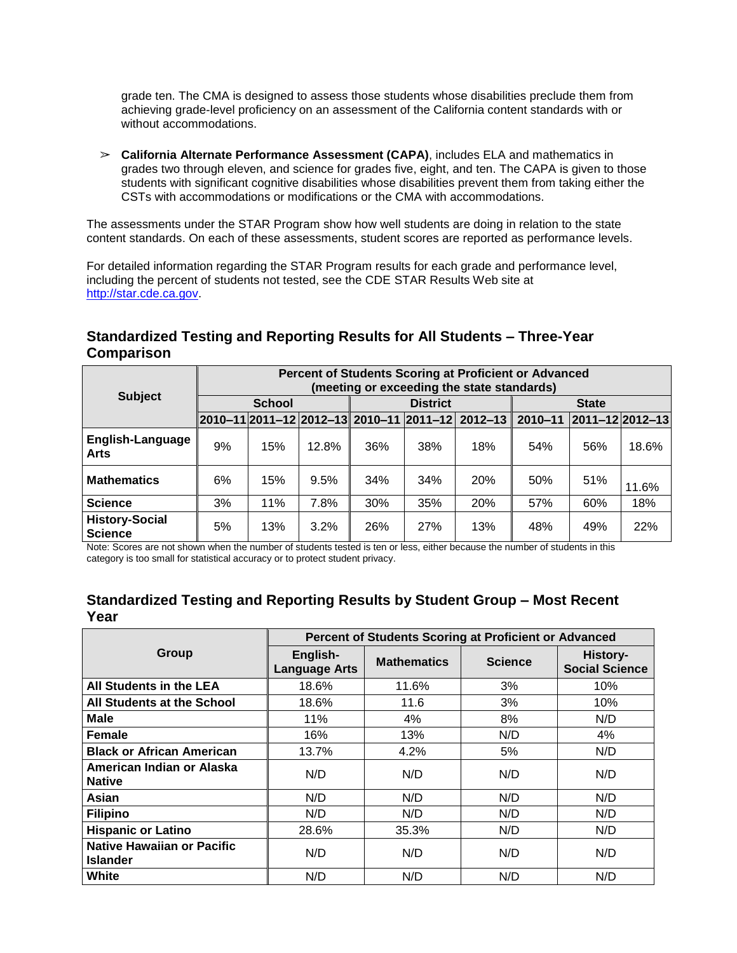grade ten. The CMA is designed to assess those students whose disabilities preclude them from achieving grade-level proficiency on an assessment of the California content standards with or without accommodations.

➢ **California Alternate Performance Assessment (CAPA)**, includes ELA and mathematics in grades two through eleven, and science for grades five, eight, and ten. The CAPA is given to those students with significant cognitive disabilities whose disabilities prevent them from taking either the CSTs with accommodations or modifications or the CMA with accommodations.

The assessments under the STAR Program show how well students are doing in relation to the state content standards. On each of these assessments, student scores are reported as performance levels.

For detailed information regarding the STAR Program results for each grade and performance level, including the percent of students not tested, see the CDE STAR Results Web site at [http://star.cde.ca.gov.](http://star.cde.ca.gov/)

### **Standardized Testing and Reporting Results for All Students – Three-Year Comparison**

|                                         | Percent of Students Scoring at Proficient or Advanced<br>(meeting or exceeding the state standards) |     |       |     |              |                                                 |             |                         |       |
|-----------------------------------------|-----------------------------------------------------------------------------------------------------|-----|-------|-----|--------------|-------------------------------------------------|-------------|-------------------------|-------|
| <b>Subject</b>                          | <b>School</b><br><b>District</b>                                                                    |     |       |     | <b>State</b> |                                                 |             |                         |       |
|                                         |                                                                                                     |     |       |     |              | 2010-11 2011-12 2012-13 2010-11 2011-12 2012-13 | $2010 - 11$ | $ 2011 - 12 2012 - 13 $ |       |
| English-Language<br><b>Arts</b>         | 9%                                                                                                  | 15% | 12.8% | 36% | 38%          | 18%                                             | 54%         | 56%                     | 18.6% |
| <b>Mathematics</b>                      | 6%                                                                                                  | 15% | 9.5%  | 34% | 34%          | 20%                                             | 50%         | 51%                     | 11.6% |
| <b>Science</b>                          | 3%                                                                                                  | 11% | 7.8%  | 30% | 35%          | 20%                                             | 57%         | 60%                     | 18%   |
| <b>History-Social</b><br><b>Science</b> | 5%                                                                                                  | 13% | 3.2%  | 26% | 27%          | 13%                                             | 48%         | 49%                     | 22%   |

Note: Scores are not shown when the number of students tested is ten or less, either because the number of students in this category is too small for statistical accuracy or to protect student privacy.

### **Standardized Testing and Reporting Results by Student Group – Most Recent Year**

|                                                      | Percent of Students Scoring at Proficient or Advanced |                    |                |                                   |  |  |
|------------------------------------------------------|-------------------------------------------------------|--------------------|----------------|-----------------------------------|--|--|
| Group                                                | English-<br><b>Language Arts</b>                      | <b>Mathematics</b> | <b>Science</b> | History-<br><b>Social Science</b> |  |  |
| All Students in the LEA                              | 18.6%                                                 | 11.6%              | 3%             | 10%                               |  |  |
| All Students at the School                           | 18.6%                                                 | 11.6               | 3%             | 10%                               |  |  |
| Male                                                 | 11%                                                   | 4%                 | 8%             | N/D                               |  |  |
| <b>Female</b>                                        | 16%                                                   | 13%                | N/D            | 4%                                |  |  |
| <b>Black or African American</b>                     | 13.7%                                                 | 4.2%               | 5%             | N/D                               |  |  |
| American Indian or Alaska<br><b>Native</b>           | N/D                                                   | N/D                | N/D            | N/D                               |  |  |
| Asian                                                | N/D                                                   | N/D                | N/D            | N/D                               |  |  |
| <b>Filipino</b>                                      | N/D                                                   | N/D                | N/D            | N/D                               |  |  |
| <b>Hispanic or Latino</b>                            | 28.6%                                                 | 35.3%              | N/D            | N/D                               |  |  |
| <b>Native Hawaiian or Pacific</b><br><b>Islander</b> | N/D                                                   | N/D                | N/D            | N/D                               |  |  |
| White                                                | N/D                                                   | N/D                | N/D            | N/D                               |  |  |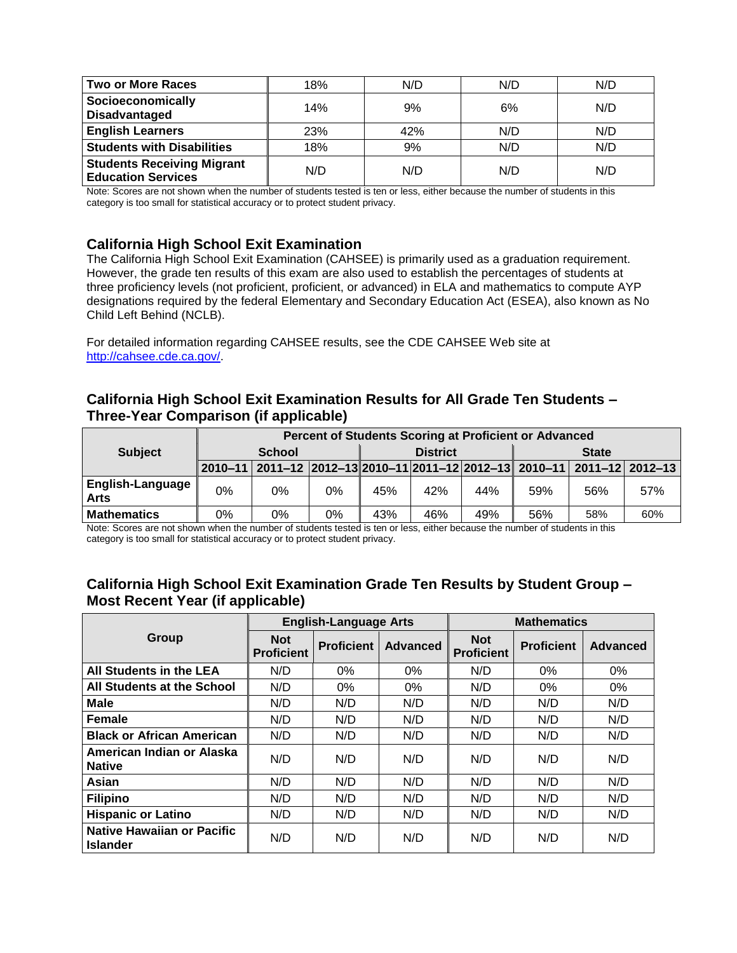| <b>Two or More Races</b>                                       | 18% | N/D | N/D | N/D |
|----------------------------------------------------------------|-----|-----|-----|-----|
| Socioeconomically<br><b>Disadvantaged</b>                      | 14% | 9%  | 6%  | N/D |
| <b>English Learners</b>                                        | 23% | 42% | N/D | N/D |
| <b>Students with Disabilities</b>                              | 18% | 9%  | N/D | N/D |
| <b>Students Receiving Migrant</b><br><b>Education Services</b> | N/D | N/D | N/D | N/D |

Note: Scores are not shown when the number of students tested is ten or less, either because the number of students in this category is too small for statistical accuracy or to protect student privacy.

### **California High School Exit Examination**

The California High School Exit Examination (CAHSEE) is primarily used as a graduation requirement. However, the grade ten results of this exam are also used to establish the percentages of students at three proficiency levels (not proficient, proficient, or advanced) in ELA and mathematics to compute AYP designations required by the federal Elementary and Secondary Education Act (ESEA), also known as No Child Left Behind (NCLB).

For detailed information regarding CAHSEE results, see the CDE CAHSEE Web site at [http://cahsee.cde.ca.gov/.](http://cahsee.cde.ca.gov/)

### **California High School Exit Examination Results for All Grade Ten Students – Three-Year Comparison (if applicable)**

|                                          |               | Percent of Students Scoring at Proficient or Advanced                   |    |                 |     |     |              |     |     |
|------------------------------------------|---------------|-------------------------------------------------------------------------|----|-----------------|-----|-----|--------------|-----|-----|
| <b>Subject</b>                           | <b>School</b> |                                                                         |    | <b>District</b> |     |     | <b>State</b> |     |     |
|                                          |               | 2010-11 2011-12 2012-13 2010-11 2011-12 2012-13 2010-11 2011-12 2012-13 |    |                 |     |     |              |     |     |
| <b>English-Language I</b><br><b>Arts</b> | 0%            | 0%                                                                      | 0% | 45%             | 42% | 44% | 59%          | 56% | 57% |
| <b>Mathematics</b>                       | 0%            | 0%                                                                      | 0% | 43%             | 46% | 49% | 56%          | 58% | 60% |

Note: Scores are not shown when the number of students tested is ten or less, either because the number of students in this category is too small for statistical accuracy or to protect student privacy.

### **California High School Exit Examination Grade Ten Results by Student Group – Most Recent Year (if applicable)**

|                                            |                                 | <b>English-Language Arts</b> |                 | <b>Mathematics</b>              |                   |                 |  |
|--------------------------------------------|---------------------------------|------------------------------|-----------------|---------------------------------|-------------------|-----------------|--|
| Group                                      | <b>Not</b><br><b>Proficient</b> | <b>Proficient</b>            | <b>Advanced</b> | <b>Not</b><br><b>Proficient</b> | <b>Proficient</b> | <b>Advanced</b> |  |
| All Students in the LEA                    | N/D                             | $0\%$                        | 0%              | N/D                             | 0%                | $0\%$           |  |
| All Students at the School                 | N/D                             | 0%                           | 0%              | N/D                             | $0\%$             | 0%              |  |
| Male                                       | N/D                             | N/D                          | N/D             | N/D                             | N/D               | N/D             |  |
| Female                                     | N/D                             | N/D                          | N/D             | N/D                             | N/D               | N/D             |  |
| <b>Black or African American</b>           | N/D                             | N/D                          | N/D             | N/D                             | N/D               | N/D             |  |
| American Indian or Alaska<br><b>Native</b> | N/D                             | N/D                          | N/D             | N/D                             | N/D               | N/D             |  |
| Asian                                      | N/D                             | N/D                          | N/D             | N/D                             | N/D               | N/D             |  |
| <b>Filipino</b>                            | N/D                             | N/D                          | N/D             | N/D                             | N/D               | N/D             |  |
| <b>Hispanic or Latino</b>                  | N/D                             | N/D                          | N/D             | N/D                             | N/D               | N/D             |  |
| Native Hawaiian or Pacific<br>Islander     | N/D                             | N/D                          | N/D             | N/D                             | N/D               | N/D             |  |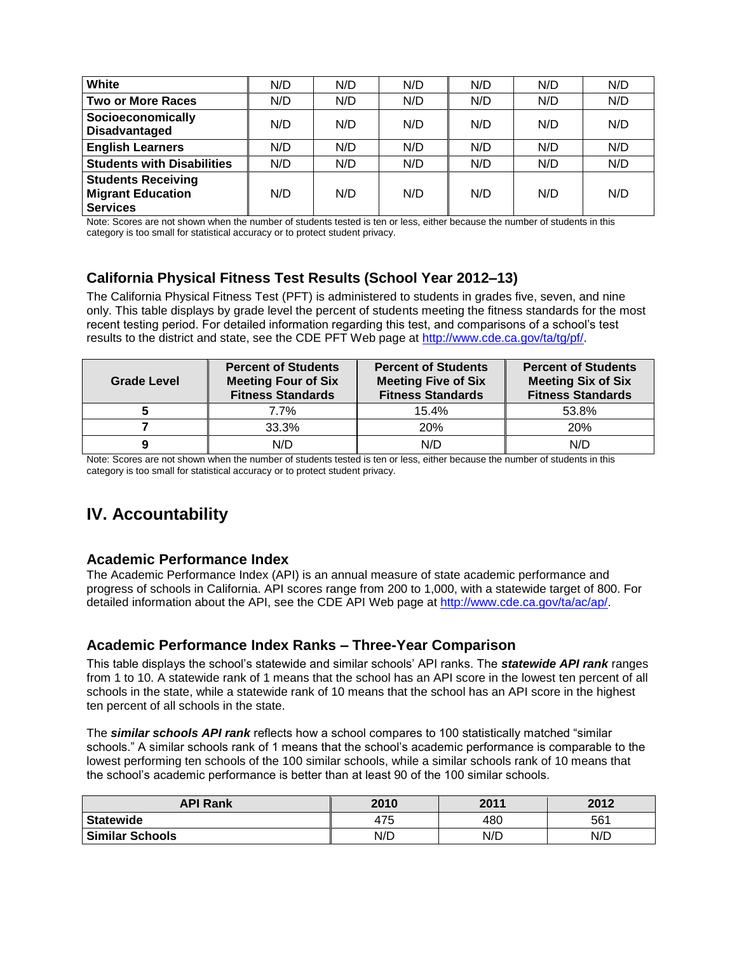| White                                                                    | N/D | N/D | N/D | N/D | N/D | N/D |
|--------------------------------------------------------------------------|-----|-----|-----|-----|-----|-----|
| <b>Two or More Races</b>                                                 | N/D | N/D | N/D | N/D | N/D | N/D |
| Socioeconomically<br><b>Disadvantaged</b>                                | N/D | N/D | N/D | N/D | N/D | N/D |
| <b>English Learners</b>                                                  | N/D | N/D | N/D | N/D | N/D | N/D |
| <b>Students with Disabilities</b>                                        | N/D | N/D | N/D | N/D | N/D | N/D |
| <b>Students Receiving</b><br><b>Migrant Education</b><br><b>Services</b> | N/D | N/D | N/D | N/D | N/D | N/D |

Note: Scores are not shown when the number of students tested is ten or less, either because the number of students in this category is too small for statistical accuracy or to protect student privacy.

### **California Physical Fitness Test Results (School Year 2012–13)**

The California Physical Fitness Test (PFT) is administered to students in grades five, seven, and nine only. This table displays by grade level the percent of students meeting the fitness standards for the most recent testing period. For detailed information regarding this test, and comparisons of a school's test results to the district and state, see the CDE PFT Web page at [http://www.cde.ca.gov/ta/tg/pf/.](http://www.cde.ca.gov/ta/tg/pf/)

| <b>Grade Level</b> | <b>Percent of Students</b><br><b>Meeting Four of Six</b><br><b>Fitness Standards</b> | <b>Percent of Students</b><br><b>Meeting Five of Six</b><br><b>Fitness Standards</b> | <b>Percent of Students</b><br><b>Meeting Six of Six</b><br><b>Fitness Standards</b> |
|--------------------|--------------------------------------------------------------------------------------|--------------------------------------------------------------------------------------|-------------------------------------------------------------------------------------|
|                    | 7.7%                                                                                 | 15.4%                                                                                | 53.8%                                                                               |
|                    | 33.3%                                                                                | <b>20%</b>                                                                           | 20%                                                                                 |
|                    | N/D                                                                                  | N/D                                                                                  | N/C                                                                                 |

Note: Scores are not shown when the number of students tested is ten or less, either because the number of students in this category is too small for statistical accuracy or to protect student privacy.

## **IV. Accountability**

### **Academic Performance Index**

The Academic Performance Index (API) is an annual measure of state academic performance and progress of schools in California. API scores range from 200 to 1,000, with a statewide target of 800. For detailed information about the API, see the CDE API Web page at [http://www.cde.ca.gov/ta/ac/ap/.](http://www.cde.ca.gov/ta/ac/ap/)

### **Academic Performance Index Ranks – Three-Year Comparison**

This table displays the school's statewide and similar schools' API ranks. The *statewide API rank* ranges from 1 to 10. A statewide rank of 1 means that the school has an API score in the lowest ten percent of all schools in the state, while a statewide rank of 10 means that the school has an API score in the highest ten percent of all schools in the state.

The *similar schools API rank* reflects how a school compares to 100 statistically matched "similar schools." A similar schools rank of 1 means that the school's academic performance is comparable to the lowest performing ten schools of the 100 similar schools, while a similar schools rank of 10 means that the school's academic performance is better than at least 90 of the 100 similar schools.

| <b>API Rank</b>        | 2010 | 2011 | 2012 |
|------------------------|------|------|------|
| <b>Statewide</b>       | 475  | 480  | 561  |
| <b>Similar Schools</b> | N/D  | N/D  | N/D  |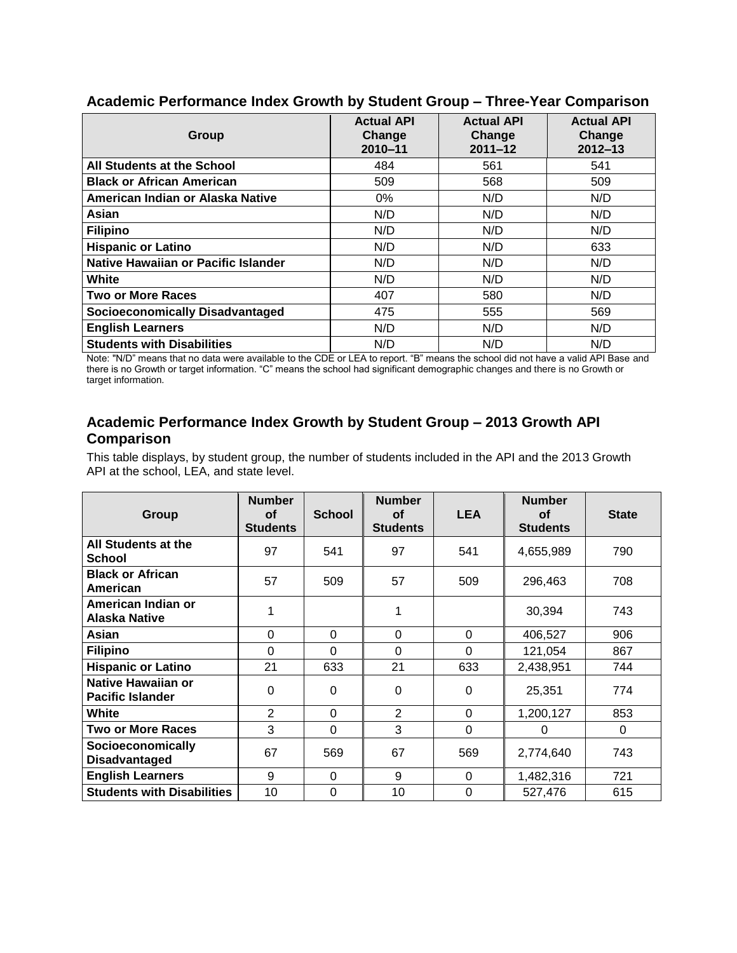| Group                                  | <b>Actual API</b><br>Change<br>$2010 - 11$ | <b>Actual API</b><br>Change<br>$2011 - 12$ | <b>Actual API</b><br>Change<br>$2012 - 13$ |
|----------------------------------------|--------------------------------------------|--------------------------------------------|--------------------------------------------|
| All Students at the School             | 484                                        | 561                                        | 541                                        |
| <b>Black or African American</b>       | 509                                        | 568                                        | 509                                        |
| American Indian or Alaska Native       | 0%                                         | N/D                                        | N/D                                        |
| Asian                                  | N/D                                        | N/D                                        | N/D                                        |
| <b>Filipino</b>                        | N/D                                        | N/D                                        | N/D                                        |
| <b>Hispanic or Latino</b>              | N/D                                        | N/D                                        | 633                                        |
| Native Hawaiian or Pacific Islander    | N/D                                        | N/D                                        | N/D                                        |
| White                                  | N/D                                        | N/D                                        | N/D                                        |
| <b>Two or More Races</b>               | 407                                        | 580                                        | N/D                                        |
| <b>Socioeconomically Disadvantaged</b> | 475                                        | 555                                        | 569                                        |
| <b>English Learners</b>                | N/D                                        | N/D                                        | N/D                                        |
| <b>Students with Disabilities</b>      | N/D                                        | N/D                                        | N/D                                        |

#### **Academic Performance Index Growth by Student Group – Three-Year Comparison**

Note: "N/D" means that no data were available to the CDE or LEA to report. "B" means the school did not have a valid API Base and there is no Growth or target information. "C" means the school had significant demographic changes and there is no Growth or target information.

### **Academic Performance Index Growth by Student Group – 2013 Growth API Comparison**

This table displays, by student group, the number of students included in the API and the 2013 Growth API at the school, LEA, and state level.

| Group                                                | <b>Number</b><br>Οf<br><b>Students</b> | <b>School</b> | <b>Number</b><br>οf<br><b>Students</b> | <b>LEA</b> | <b>Number</b><br><b>of</b><br><b>Students</b> | <b>State</b> |
|------------------------------------------------------|----------------------------------------|---------------|----------------------------------------|------------|-----------------------------------------------|--------------|
| All Students at the<br><b>School</b>                 | 97                                     | 541           | 97                                     | 541        | 4,655,989                                     | 790          |
| <b>Black or African</b><br>American                  | 57                                     | 509           | 57                                     | 509        | 296,463                                       | 708          |
| American Indian or<br><b>Alaska Native</b>           | 1                                      |               | 1                                      |            | 30,394                                        | 743          |
| Asian                                                | 0                                      | $\Omega$      | $\Omega$                               | $\Omega$   | 406,527                                       | 906          |
| <b>Filipino</b>                                      | $\Omega$                               | $\Omega$      | $\Omega$                               | $\Omega$   | 121,054                                       | 867          |
| <b>Hispanic or Latino</b>                            | 21                                     | 633           | 21                                     | 633        | 2,438,951                                     | 744          |
| <b>Native Hawaiian or</b><br><b>Pacific Islander</b> | 0                                      | $\Omega$      | 0                                      | $\Omega$   | 25,351                                        | 774          |
| White                                                | $\overline{2}$                         | 0             | 2                                      | $\Omega$   | 1,200,127                                     | 853          |
| <b>Two or More Races</b>                             | 3                                      | $\Omega$      | 3                                      | $\Omega$   | 0                                             | 0            |
| Socioeconomically<br><b>Disadvantaged</b>            | 67                                     | 569           | 67                                     | 569        | 2,774,640                                     | 743          |
| <b>English Learners</b>                              | 9                                      | 0             | 9                                      | $\Omega$   | 1,482,316                                     | 721          |
| <b>Students with Disabilities</b>                    | 10                                     | $\Omega$      | 10                                     | $\Omega$   | 527,476                                       | 615          |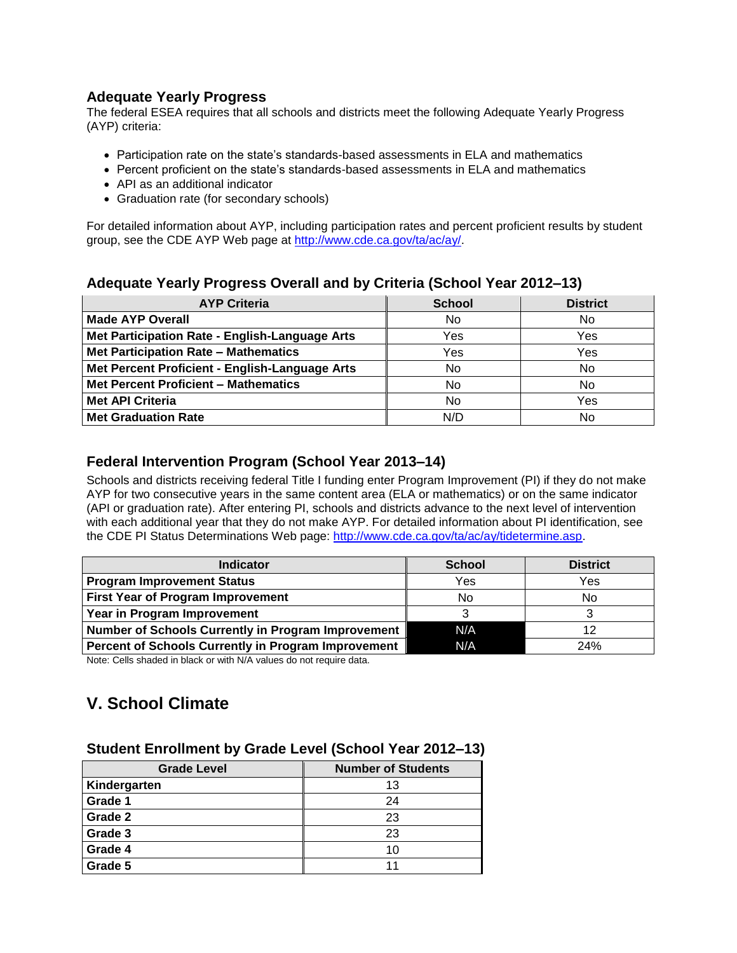### **Adequate Yearly Progress**

The federal ESEA requires that all schools and districts meet the following Adequate Yearly Progress (AYP) criteria:

- Participation rate on the state's standards-based assessments in ELA and mathematics
- Percent proficient on the state's standards-based assessments in ELA and mathematics
- API as an additional indicator
- Graduation rate (for secondary schools)

For detailed information about AYP, including participation rates and percent proficient results by student group, see the CDE AYP Web page at [http://www.cde.ca.gov/ta/ac/ay/.](http://www.cde.ca.gov/ta/ac/ay/)

### **Adequate Yearly Progress Overall and by Criteria (School Year 2012–13)**

| <b>AYP Criteria</b>                            | <b>School</b> | <b>District</b> |
|------------------------------------------------|---------------|-----------------|
| <b>Made AYP Overall</b>                        | No            | No              |
| Met Participation Rate - English-Language Arts | Yes           | Yes             |
| Met Participation Rate - Mathematics           | Yes           | Yes             |
| Met Percent Proficient - English-Language Arts | No            | No              |
| <b>Met Percent Proficient - Mathematics</b>    | No            | No              |
| <b>Met API Criteria</b>                        | No            | Yes             |
| <b>Met Graduation Rate</b>                     | N/D           | No              |

### **Federal Intervention Program (School Year 2013–14)**

Schools and districts receiving federal Title I funding enter Program Improvement (PI) if they do not make AYP for two consecutive years in the same content area (ELA or mathematics) or on the same indicator (API or graduation rate). After entering PI, schools and districts advance to the next level of intervention with each additional year that they do not make AYP. For detailed information about PI identification, see the CDE PI Status Determinations Web page: [http://www.cde.ca.gov/ta/ac/ay/tidetermine.asp.](http://www.cde.ca.gov/ta/ac/ay/tidetermine.asp)

| <b>Indicator</b>                                    | <b>School</b> | <b>District</b> |
|-----------------------------------------------------|---------------|-----------------|
| <b>Program Improvement Status</b>                   | Yes           | Yes             |
| <b>First Year of Program Improvement</b>            | No            | No.             |
| Year in Program Improvement                         |               |                 |
| Number of Schools Currently in Program Improvement  | N/A           | 12              |
| Percent of Schools Currently in Program Improvement | N/A           | 24%             |

Note: Cells shaded in black or with N/A values do not require data.

## **V. School Climate**

#### **Student Enrollment by Grade Level (School Year 2012–13)**

| <b>Grade Level</b> | <b>Number of Students</b> |
|--------------------|---------------------------|
| Kindergarten       | 13                        |
| Grade 1            | 24                        |
| Grade 2            | 23                        |
| Grade 3            | 23                        |
| Grade 4            | 10                        |
| Grade 5            | 11                        |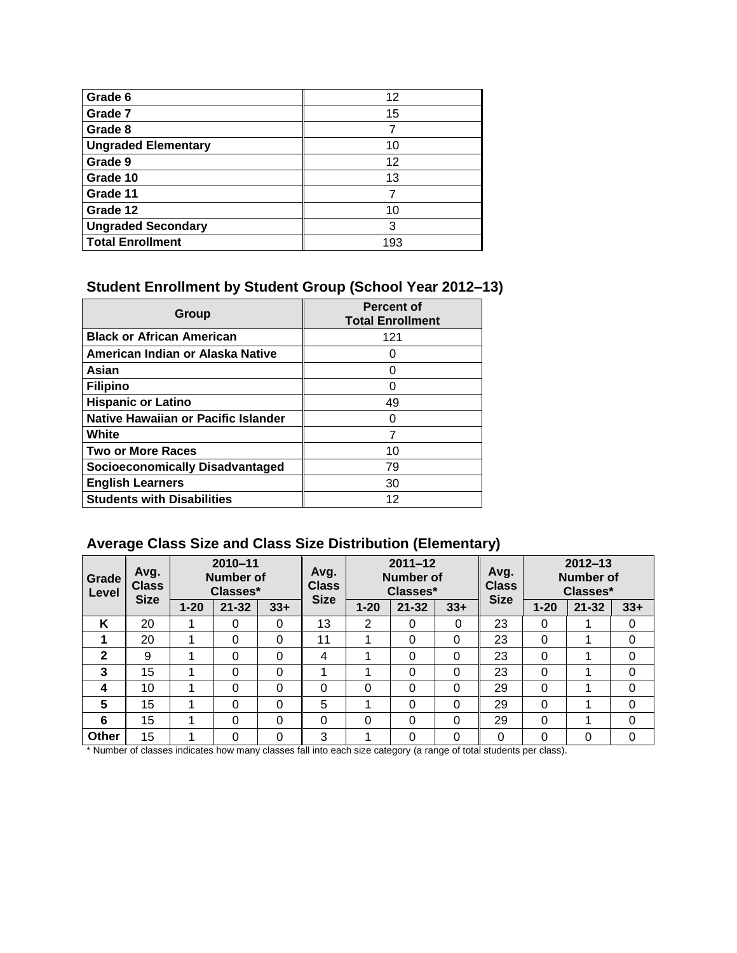| Grade 6                    | 12  |
|----------------------------|-----|
| Grade 7                    | 15  |
| Grade 8                    |     |
| <b>Ungraded Elementary</b> | 10  |
| Grade 9                    | 12  |
| Grade 10                   | 13  |
| Grade 11                   |     |
| Grade 12                   | 10  |
| <b>Ungraded Secondary</b>  | 3   |
| <b>Total Enrollment</b>    | 193 |

## **Student Enrollment by Student Group (School Year 2012–13)**

| Group                                  | <b>Percent of</b><br><b>Total Enrollment</b> |
|----------------------------------------|----------------------------------------------|
| <b>Black or African American</b>       | 121                                          |
| American Indian or Alaska Native       | Ω                                            |
| Asian                                  | ი                                            |
| <b>Filipino</b>                        | O                                            |
| <b>Hispanic or Latino</b>              | 49                                           |
| Native Hawaiian or Pacific Islander    | Ω                                            |
| White                                  | 7                                            |
| <b>Two or More Races</b>               | 10                                           |
| <b>Socioeconomically Disadvantaged</b> | 79                                           |
| <b>English Learners</b>                | 30                                           |
| <b>Students with Disabilities</b>      | 12                                           |

## **Average Class Size and Class Size Distribution (Elementary)**

| Grade<br>Level | Avg.<br><b>Class</b><br><b>Size</b> |          | $2010 - 11$<br><b>Number of</b><br>Classes* |          | Avg.<br><b>Class</b><br><b>Size</b> | $2011 - 12$<br><b>Number of</b><br>Classes* |           |       | Avg.<br><b>Class</b><br><b>Size</b> |          | $2012 - 13$<br><b>Number of</b><br>Classes* |          |
|----------------|-------------------------------------|----------|---------------------------------------------|----------|-------------------------------------|---------------------------------------------|-----------|-------|-------------------------------------|----------|---------------------------------------------|----------|
|                |                                     | $1 - 20$ | $21 - 32$                                   | $33+$    |                                     | $1 - 20$                                    | $21 - 32$ | $33+$ |                                     | $1 - 20$ | $21 - 32$                                   | $33+$    |
| K              | 20                                  |          | 0                                           | 0        | 13                                  | 2                                           | 0         | 0     | 23                                  | 0        |                                             | 0        |
|                | 20                                  |          | 0                                           | $\Omega$ | 11                                  |                                             | 0         | 0     | 23                                  | 0        | 1                                           | 0        |
| $\mathbf{2}$   | 9                                   |          | 0                                           | 0        | 4                                   |                                             | 0         | 0     | 23                                  | 0        | 1                                           | 0        |
| 3              | 15                                  |          | 0                                           | $\Omega$ |                                     |                                             | 0         | 0     | 23                                  | 0        | 1                                           | 0        |
| 4              | 10                                  |          | 0                                           | $\Omega$ | 0                                   | $\Omega$                                    | $\Omega$  | 0     | 29                                  | 0        |                                             | 0        |
| 5              | 15                                  |          | 0                                           | 0        | 5                                   |                                             | 0         | 0     | 29                                  | 0        |                                             | 0        |
| 6              | 15                                  |          | 0                                           | $\Omega$ | 0                                   | $\Omega$                                    | 0         | 0     | 29                                  | 0        |                                             | $\Omega$ |
| Other          | 15                                  |          | 0                                           | 0        | 3                                   |                                             | 0         | 0     | 0                                   | 0        | 0                                           | 0        |

\* Number of classes indicates how many classes fall into each size category (a range of total students per class).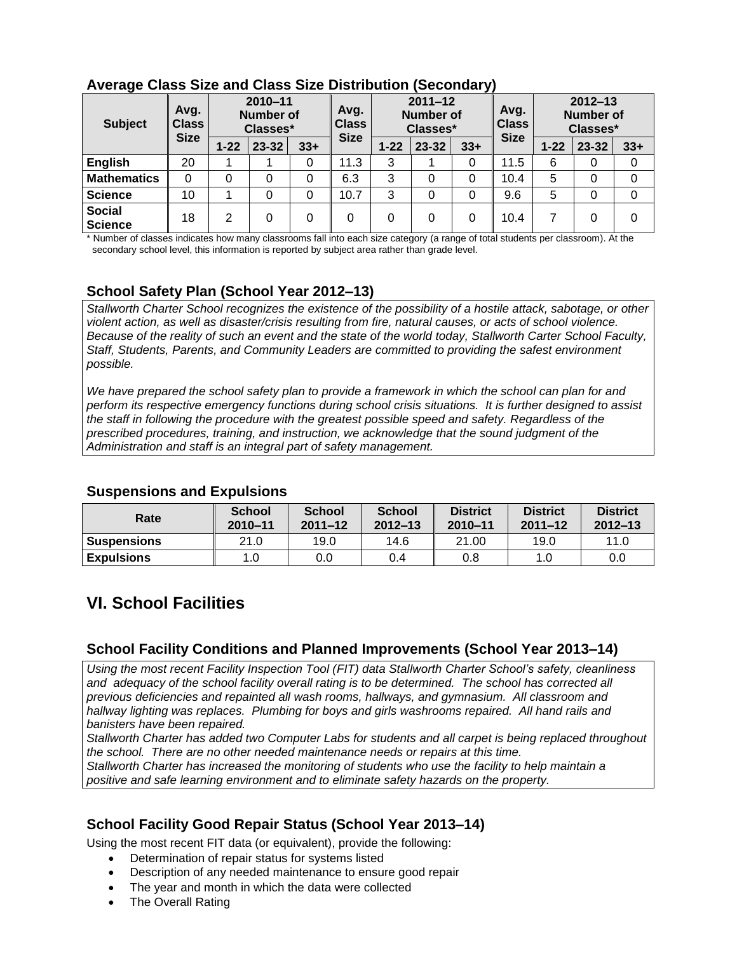| - - - - <del>-</del> -<br><b>Subject</b> | $2010 - 11$<br>Avg.<br>Number of<br><b>Class</b><br>Classes* |          | Avg.<br><b>Class</b> | $2011 - 12$<br><b>Number of</b><br>Classes* |             | Avg.<br><b>Class</b> | $2012 - 13$<br>Number of<br>Classes* |       |             |          |           |       |
|------------------------------------------|--------------------------------------------------------------|----------|----------------------|---------------------------------------------|-------------|----------------------|--------------------------------------|-------|-------------|----------|-----------|-------|
|                                          | <b>Size</b>                                                  | $1 - 22$ | 23-32                | $33+$                                       | <b>Size</b> | $1 - 22$             | 23-32                                | $33+$ | <b>Size</b> | $1 - 22$ | $23 - 32$ | $33+$ |
| <b>English</b>                           | 20                                                           |          |                      | 0                                           | 11.3        | 3                    |                                      |       | 11.5        | 6        | 0         | 0     |
| <b>Mathematics</b>                       | $\Omega$                                                     | 0        | 0                    | 0                                           | 6.3         | 3                    | 0                                    | 0     | 10.4        | 5        | 0         | 0     |
| <b>Science</b>                           | 10                                                           |          | 0                    | 0                                           | 10.7        | 3                    | 0                                    |       | 9.6         | 5        | 0         | 0     |
| <b>Social</b><br><b>Science</b>          | 18                                                           | 2        | $\Omega$             | 0                                           | 0           | 0                    | 0                                    | 0     | 10.4        |          | 0         | 0     |

### **Average Class Size and Class Size Distribution (Secondary)**

\* Number of classes indicates how many classrooms fall into each size category (a range of total students per classroom). At the secondary school level, this information is reported by subject area rather than grade level.

### **School Safety Plan (School Year 2012–13)**

*Stallworth Charter School recognizes the existence of the possibility of a hostile attack, sabotage, or other violent action, as well as disaster/crisis resulting from fire, natural causes, or acts of school violence. Because of the reality of such an event and the state of the world today, Stallworth Carter School Faculty, Staff, Students, Parents, and Community Leaders are committed to providing the safest environment possible.*

*We have prepared the school safety plan to provide a framework in which the school can plan for and perform its respective emergency functions during school crisis situations. It is further designed to assist the staff in following the procedure with the greatest possible speed and safety. Regardless of the prescribed procedures, training, and instruction, we acknowledge that the sound judgment of the Administration and staff is an integral part of safety management.* 

| Rate               | <b>School</b><br>$2010 - 11$ | <b>School</b><br>$2011 - 12$ | <b>School</b><br>$2012 - 13$ | <b>District</b><br>2010-11 | <b>District</b><br>$2011 - 12$ | <b>District</b><br>$2012 - 13$ |
|--------------------|------------------------------|------------------------------|------------------------------|----------------------------|--------------------------------|--------------------------------|
| <b>Suspensions</b> | 21.0                         | 19.0                         | 14.6                         | 21.00                      | 19.0                           | 11.0                           |
| <b>Expulsions</b>  | 1.0                          | 0.0                          | 0.4                          | 0.8                        | 1.0                            | 0.0                            |

#### **Suspensions and Expulsions**

## **VI. School Facilities**

### **School Facility Conditions and Planned Improvements (School Year 2013–14)**

*Using the most recent Facility Inspection Tool (FIT) data Stallworth Charter School's safety, cleanliness*  and adequacy of the school facility overall rating is to be determined. The school has corrected all *previous deficiencies and repainted all wash rooms, hallways, and gymnasium. All classroom and hallway lighting was replaces. Plumbing for boys and girls washrooms repaired. All hand rails and banisters have been repaired.* 

*Stallworth Charter has added two Computer Labs for students and all carpet is being replaced throughout the school. There are no other needed maintenance needs or repairs at this time. Stallworth Charter has increased the monitoring of students who use the facility to help maintain a positive and safe learning environment and to eliminate safety hazards on the property.*

### **School Facility Good Repair Status (School Year 2013–14)**

Using the most recent FIT data (or equivalent), provide the following:

- Determination of repair status for systems listed
- Description of any needed maintenance to ensure good repair
- The year and month in which the data were collected
- The Overall Rating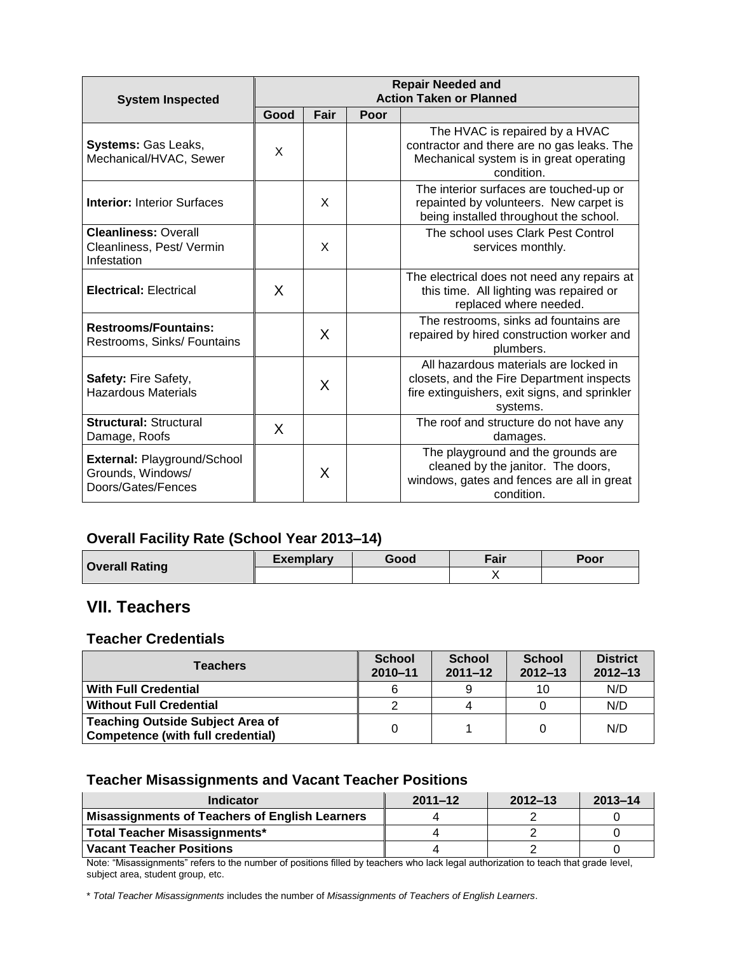| <b>System Inspected</b>                                                 | <b>Repair Needed and</b><br><b>Action Taken or Planned</b> |      |      |                                                                                                                                                 |  |  |
|-------------------------------------------------------------------------|------------------------------------------------------------|------|------|-------------------------------------------------------------------------------------------------------------------------------------------------|--|--|
|                                                                         | Good                                                       | Fair | Poor |                                                                                                                                                 |  |  |
| Systems: Gas Leaks,<br>Mechanical/HVAC, Sewer                           | X                                                          |      |      | The HVAC is repaired by a HVAC<br>contractor and there are no gas leaks. The<br>Mechanical system is in great operating<br>condition.           |  |  |
| <b>Interior: Interior Surfaces</b>                                      |                                                            | X    |      | The interior surfaces are touched-up or<br>repainted by volunteers. New carpet is<br>being installed throughout the school.                     |  |  |
| <b>Cleanliness: Overall</b><br>Cleanliness, Pest/ Vermin<br>Infestation |                                                            | X    |      | The school uses Clark Pest Control<br>services monthly.                                                                                         |  |  |
| <b>Electrical: Electrical</b>                                           | X                                                          |      |      | The electrical does not need any repairs at<br>this time. All lighting was repaired or<br>replaced where needed.                                |  |  |
| <b>Restrooms/Fountains:</b><br>Restrooms, Sinks/ Fountains              |                                                            | X    |      | The restrooms, sinks ad fountains are<br>repaired by hired construction worker and<br>plumbers.                                                 |  |  |
| <b>Safety: Fire Safety,</b><br>Hazardous Materials                      |                                                            | X    |      | All hazardous materials are locked in<br>closets, and the Fire Department inspects<br>fire extinguishers, exit signs, and sprinkler<br>systems. |  |  |
| <b>Structural: Structural</b><br>Damage, Roofs                          | X                                                          |      |      | The roof and structure do not have any<br>damages.                                                                                              |  |  |
| External: Playground/School<br>Grounds, Windows/<br>Doors/Gates/Fences  |                                                            | X    |      | The playground and the grounds are<br>cleaned by the janitor. The doors,<br>windows, gates and fences are all in great<br>condition.            |  |  |

### **Overall Facility Rate (School Year 2013–14)**

| <b>Overall Rating</b> | <b>Exemplary</b> | Good | Fair | Poor |
|-----------------------|------------------|------|------|------|
|                       |                  |      |      |      |

## **VII. Teachers**

### **Teacher Credentials**

| <b>Teachers</b>                                                                     | <b>School</b><br>$2010 - 11$ | <b>School</b><br>$2011 - 12$ | <b>School</b><br>$2012 - 13$ | <b>District</b><br>$2012 - 13$ |
|-------------------------------------------------------------------------------------|------------------------------|------------------------------|------------------------------|--------------------------------|
| <b>With Full Credential</b>                                                         | 6                            |                              | 10                           | N/D                            |
| <b>Without Full Credential</b>                                                      |                              |                              |                              | N/D                            |
| <b>Teaching Outside Subject Area of</b><br><b>Competence (with full credential)</b> |                              |                              | 0                            | N/D                            |

### **Teacher Misassignments and Vacant Teacher Positions**

| Indicator                                             | $2011 - 12$ | $2012 - 13$ | $2013 - 14$ |
|-------------------------------------------------------|-------------|-------------|-------------|
| <b>Misassignments of Teachers of English Learners</b> |             |             |             |
| Total Teacher Misassignments*                         |             |             |             |
| <b>Vacant Teacher Positions</b>                       |             |             |             |

Note: "Misassignments" refers to the number of positions filled by teachers who lack legal authorization to teach that grade level, subject area, student group, etc.

\* *Total Teacher Misassignments* includes the number of *Misassignments of Teachers of English Learners*.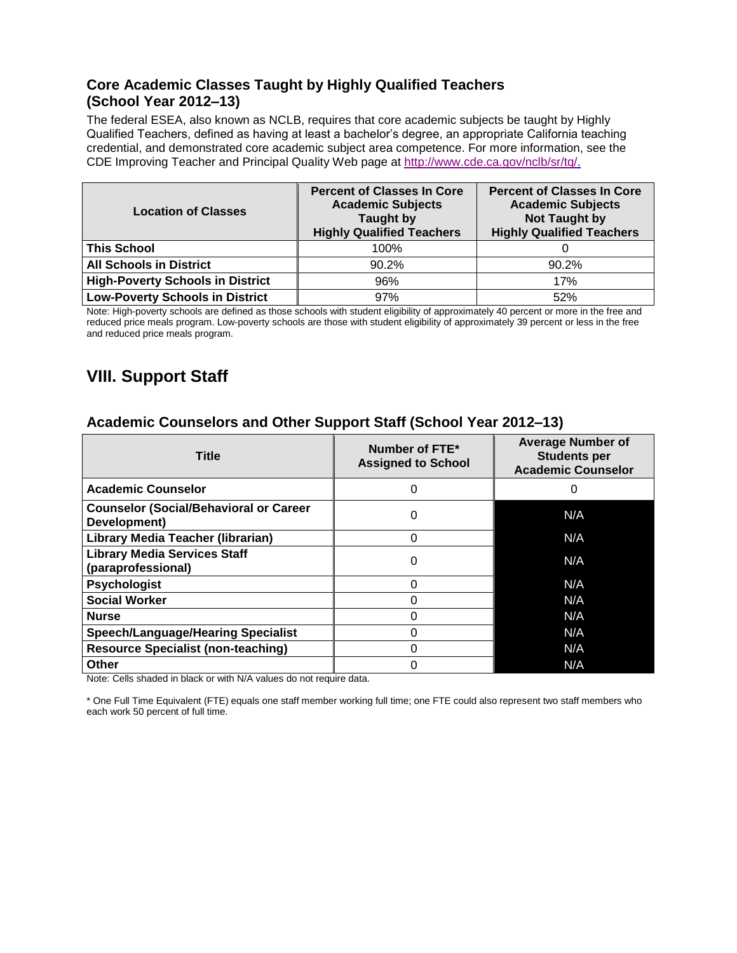### **Core Academic Classes Taught by Highly Qualified Teachers (School Year 2012–13)**

The federal ESEA, also known as NCLB, requires that core academic subjects be taught by Highly Qualified Teachers, defined as having at least a bachelor's degree, an appropriate California teaching credential, and demonstrated core academic subject area competence. For more information, see the CDE Improving Teacher and Principal Quality Web page at [http://www.cde.ca.gov/nclb/sr/tq/.](http://www.cde.ca.gov/nclb/sr/tq/)

| <b>Location of Classes</b>              | <b>Percent of Classes In Core</b><br><b>Academic Subjects</b><br>Taught by<br><b>Highly Qualified Teachers</b> | <b>Percent of Classes In Core</b><br><b>Academic Subjects</b><br><b>Not Taught by</b><br><b>Highly Qualified Teachers</b> |  |  |
|-----------------------------------------|----------------------------------------------------------------------------------------------------------------|---------------------------------------------------------------------------------------------------------------------------|--|--|
| <b>This School</b>                      | 100%                                                                                                           |                                                                                                                           |  |  |
| <b>All Schools in District</b>          | 90.2%                                                                                                          | 90.2%                                                                                                                     |  |  |
| <b>High-Poverty Schools in District</b> | 96%                                                                                                            | 17%                                                                                                                       |  |  |
| <b>Low-Poverty Schools in District</b>  | 97%                                                                                                            | 52%                                                                                                                       |  |  |

Note: High-poverty schools are defined as those schools with student eligibility of approximately 40 percent or more in the free and reduced price meals program. Low-poverty schools are those with student eligibility of approximately 39 percent or less in the free and reduced price meals program.

## **VIII. Support Staff**

### **Academic Counselors and Other Support Staff (School Year 2012–13)**

| <b>Title</b>                                                  | Number of FTE*<br><b>Assigned to School</b> | <b>Average Number of</b><br><b>Students per</b><br><b>Academic Counselor</b> |
|---------------------------------------------------------------|---------------------------------------------|------------------------------------------------------------------------------|
| <b>Academic Counselor</b>                                     | 0                                           | 0                                                                            |
| <b>Counselor (Social/Behavioral or Career</b><br>Development) | 0                                           | N/A                                                                          |
| <b>Library Media Teacher (librarian)</b>                      | 0                                           | N/A                                                                          |
| <b>Library Media Services Staff</b><br>(paraprofessional)     | 0                                           | N/A                                                                          |
| <b>Psychologist</b>                                           | ∩                                           | N/A                                                                          |
| <b>Social Worker</b>                                          |                                             | N/A                                                                          |
| <b>Nurse</b>                                                  | ი                                           | N/A                                                                          |
| <b>Speech/Language/Hearing Specialist</b>                     |                                             | N/A                                                                          |
| <b>Resource Specialist (non-teaching)</b>                     | O                                           | N/A                                                                          |
| <b>Other</b>                                                  | 0                                           | N/A                                                                          |

Note: Cells shaded in black or with N/A values do not require data.

\* One Full Time Equivalent (FTE) equals one staff member working full time; one FTE could also represent two staff members who each work 50 percent of full time.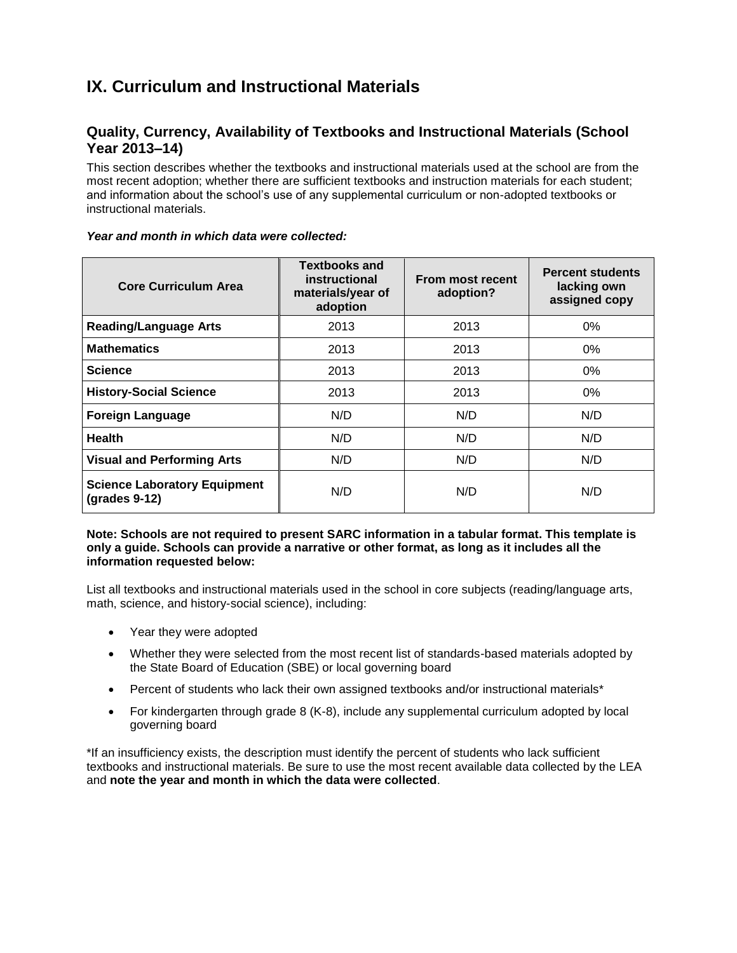## **IX. Curriculum and Instructional Materials**

### **Quality, Currency, Availability of Textbooks and Instructional Materials (School Year 2013–14)**

This section describes whether the textbooks and instructional materials used at the school are from the most recent adoption; whether there are sufficient textbooks and instruction materials for each student; and information about the school's use of any supplemental curriculum or non-adopted textbooks or instructional materials.

| <b>Core Curriculum Area</b>                            | <b>Textbooks and</b><br>instructional<br>materials/year of<br>adoption | From most recent<br>adoption? | <b>Percent students</b><br>lacking own<br>assigned copy |  |
|--------------------------------------------------------|------------------------------------------------------------------------|-------------------------------|---------------------------------------------------------|--|
| <b>Reading/Language Arts</b>                           | 2013                                                                   | 2013                          | $0\%$                                                   |  |
| <b>Mathematics</b>                                     | 2013                                                                   | 2013                          | $0\%$                                                   |  |
| <b>Science</b>                                         | 2013                                                                   | 2013                          | $0\%$                                                   |  |
| <b>History-Social Science</b>                          | 2013                                                                   | 2013                          | $0\%$                                                   |  |
| <b>Foreign Language</b>                                | N/D                                                                    | N/D                           | N/D                                                     |  |
| <b>Health</b>                                          | N/D                                                                    | N/D                           | N/D                                                     |  |
| <b>Visual and Performing Arts</b>                      | N/D                                                                    | N/D                           | N/D                                                     |  |
| <b>Science Laboratory Equipment</b><br>$(grades 9-12)$ | N/D                                                                    | N/D                           | N/D                                                     |  |

#### *Year and month in which data were collected:*

#### **Note: Schools are not required to present SARC information in a tabular format. This template is only a guide. Schools can provide a narrative or other format, as long as it includes all the information requested below:**

List all textbooks and instructional materials used in the school in core subjects (reading/language arts, math, science, and history-social science), including:

- Year they were adopted
- Whether they were selected from the most recent list of standards-based materials adopted by the State Board of Education (SBE) or local governing board
- Percent of students who lack their own assigned textbooks and/or instructional materials\*
- For kindergarten through grade 8 (K-8), include any supplemental curriculum adopted by local governing board

\*If an insufficiency exists, the description must identify the percent of students who lack sufficient textbooks and instructional materials. Be sure to use the most recent available data collected by the LEA and **note the year and month in which the data were collected**.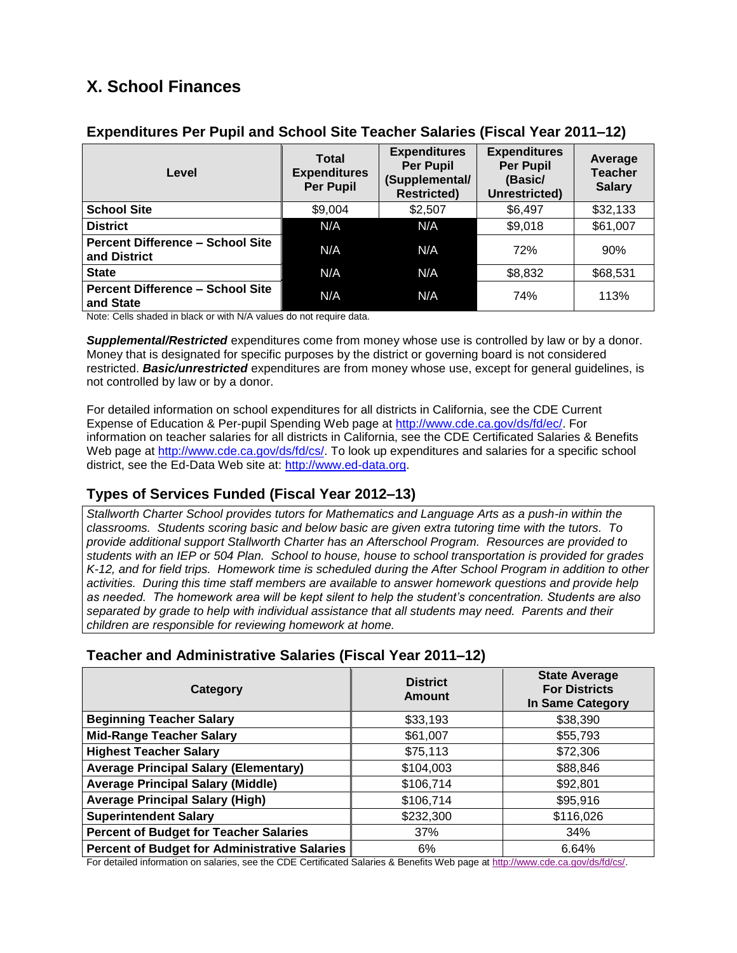## **X. School Finances**

| Level                                                   | <b>Total</b><br><b>Expenditures</b><br><b>Per Pupil</b> | <b>Expenditures</b><br><b>Per Pupil</b><br>(Supplemental/<br><b>Restricted)</b> | <b>Expenditures</b><br><b>Per Pupil</b><br>(Basic/<br>Unrestricted) | Average<br><b>Teacher</b><br><b>Salary</b> |
|---------------------------------------------------------|---------------------------------------------------------|---------------------------------------------------------------------------------|---------------------------------------------------------------------|--------------------------------------------|
| <b>School Site</b>                                      | \$9,004                                                 | \$2,507                                                                         | \$6,497                                                             | \$32,133                                   |
| <b>District</b>                                         | N/A                                                     | N/A                                                                             | \$9,018                                                             | \$61,007                                   |
| <b>Percent Difference - School Site</b><br>and District | N/A                                                     | N/A                                                                             | 72%                                                                 | 90%                                        |
| <b>State</b>                                            | N/A                                                     | N/A                                                                             | \$8,832                                                             | \$68,531                                   |
| <b>Percent Difference - School Site</b><br>and State    | N/A                                                     | N/A                                                                             | 74%                                                                 | 113%                                       |

### **Expenditures Per Pupil and School Site Teacher Salaries (Fiscal Year 2011–12)**

Note: Cells shaded in black or with N/A values do not require data.

*Supplemental/Restricted* expenditures come from money whose use is controlled by law or by a donor. Money that is designated for specific purposes by the district or governing board is not considered restricted. *Basic/unrestricted* expenditures are from money whose use, except for general guidelines, is not controlled by law or by a donor.

For detailed information on school expenditures for all districts in California, see the CDE Current Expense of Education & Per-pupil Spending Web page at [http://www.cde.ca.gov/ds/fd/ec/.](http://www.cde.ca.gov/ds/fd/ec/) For information on teacher salaries for all districts in California, see the CDE Certificated Salaries & Benefits Web page at [http://www.cde.ca.gov/ds/fd/cs/.](http://www.cde.ca.gov/ds/fd/cs/) To look up expenditures and salaries for a specific school district, see the Ed-Data Web site at: [http://www.ed-data.org.](http://www.ed-data.org/)

### **Types of Services Funded (Fiscal Year 2012–13)**

*Stallworth Charter School provides tutors for Mathematics and Language Arts as a push-in within the classrooms. Students scoring basic and below basic are given extra tutoring time with the tutors. To provide additional support Stallworth Charter has an Afterschool Program. Resources are provided to students with an IEP or 504 Plan. School to house, house to school transportation is provided for grades K-12, and for field trips. Homework time is scheduled during the After School Program in addition to other activities. During this time staff members are available to answer homework questions and provide help as needed. The homework area will be kept silent to help the student's concentration. Students are also separated by grade to help with individual assistance that all students may need. Parents and their children are responsible for reviewing homework at home.* 

### **Teacher and Administrative Salaries (Fiscal Year 2011–12)**

| Category                                             | <b>District</b><br><b>Amount</b> | <b>State Average</b><br><b>For Districts</b><br><b>In Same Category</b> |  |
|------------------------------------------------------|----------------------------------|-------------------------------------------------------------------------|--|
| <b>Beginning Teacher Salary</b>                      | \$33,193                         | \$38,390                                                                |  |
| <b>Mid-Range Teacher Salary</b>                      | \$61,007                         | \$55,793                                                                |  |
| <b>Highest Teacher Salary</b>                        | \$75,113                         | \$72,306                                                                |  |
| <b>Average Principal Salary (Elementary)</b>         | \$104,003                        | \$88,846                                                                |  |
| <b>Average Principal Salary (Middle)</b>             | \$106,714                        | \$92,801                                                                |  |
| <b>Average Principal Salary (High)</b>               | \$106,714                        | \$95,916                                                                |  |
| <b>Superintendent Salary</b>                         | \$232,300                        | \$116,026                                                               |  |
| <b>Percent of Budget for Teacher Salaries</b>        | 37%                              | 34%                                                                     |  |
| <b>Percent of Budget for Administrative Salaries</b> | 6%                               | 6.64%                                                                   |  |

For detailed information on salaries, see the CDE Certificated Salaries & Benefits Web page at [http://www.cde.ca.gov/ds/fd/cs/.](http://www.cde.ca.gov/ds/fd/cs/)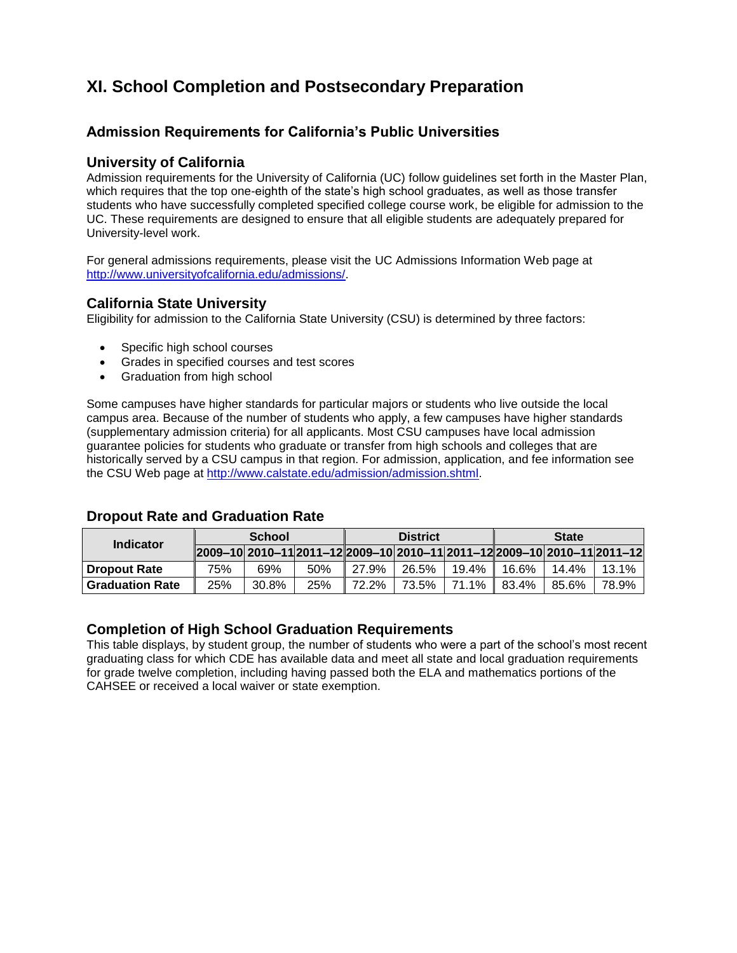## **XI. School Completion and Postsecondary Preparation**

### **Admission Requirements for California's Public Universities**

### **University of California**

Admission requirements for the University of California (UC) follow guidelines set forth in the Master Plan, which requires that the top one-eighth of the state's high school graduates, as well as those transfer students who have successfully completed specified college course work, be eligible for admission to the UC. These requirements are designed to ensure that all eligible students are adequately prepared for University-level work.

For general admissions requirements, please visit the UC Admissions Information Web page at [http://www.universityofcalifornia.edu/admissions/.](http://www.universityofcalifornia.edu/admissions/)

#### **California State University**

Eligibility for admission to the California State University (CSU) is determined by three factors:

- Specific high school courses
- Grades in specified courses and test scores
- Graduation from high school

Some campuses have higher standards for particular majors or students who live outside the local campus area. Because of the number of students who apply, a few campuses have higher standards (supplementary admission criteria) for all applicants. Most CSU campuses have local admission guarantee policies for students who graduate or transfer from high schools and colleges that are historically served by a CSU campus in that region. For admission, application, and fee information see the CSU Web page at [http://www.calstate.edu/admission/admission.shtml.](http://www.calstate.edu/admission/admission.shtml)

#### **Dropout Rate and Graduation Rate**

| Indicator              | <b>School</b>                                                                   |       | <b>District</b> |       |       | <b>State</b> |       |       |       |
|------------------------|---------------------------------------------------------------------------------|-------|-----------------|-------|-------|--------------|-------|-------|-------|
|                        | 2009-10  2010-11  2011-12  2009-10  2010-11  2011-12  2009-10  2010-11  2011-12 |       |                 |       |       |              |       |       |       |
| <b>Dropout Rate</b>    | 75%                                                                             | 69%   | 50%             | 27.9% | 26.5% | 19.4%        | 16.6% | 14.4% | 13.1% |
| <b>Graduation Rate</b> | 25%                                                                             | 30.8% | 25%             | 72.2% | 73.5% | 71.1%        | 83.4% | 85.6% | 78.9% |

#### **Completion of High School Graduation Requirements**

This table displays, by student group, the number of students who were a part of the school's most recent graduating class for which CDE has available data and meet all state and local graduation requirements for grade twelve completion, including having passed both the ELA and mathematics portions of the CAHSEE or received a local waiver or state exemption.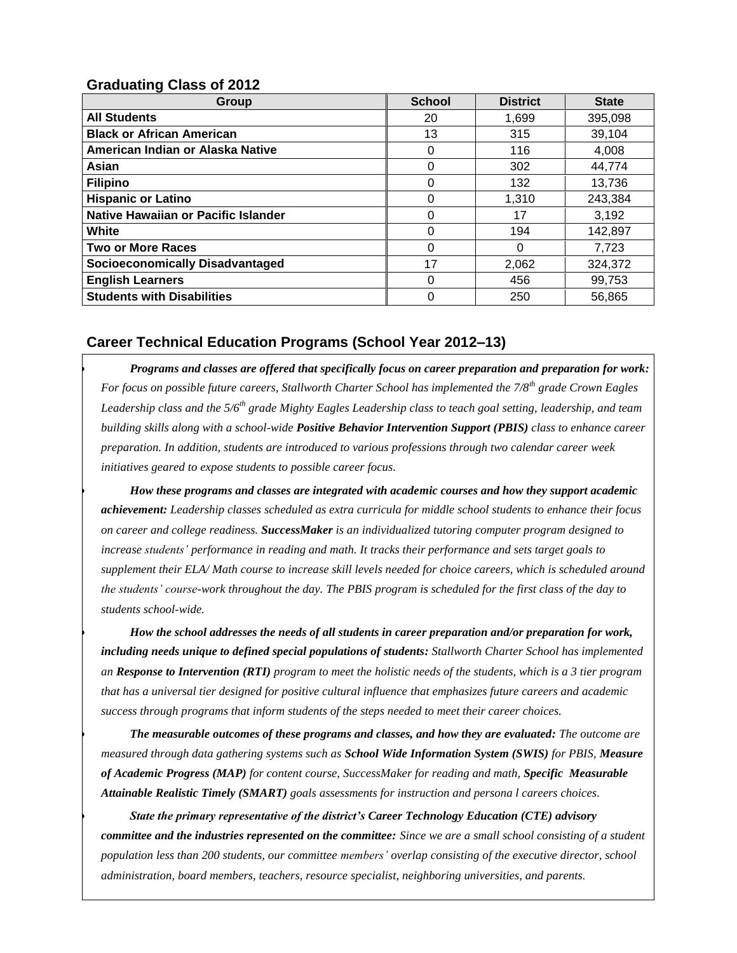### **Graduating Class of 2012**

| Group                                  | <b>School</b> | <b>District</b> | <b>State</b> |
|----------------------------------------|---------------|-----------------|--------------|
| <b>All Students</b>                    | 20            | 1,699           | 395,098      |
| <b>Black or African American</b>       | 13            | 315             | 39,104       |
| American Indian or Alaska Native       | 0             | 116             | 4,008        |
| Asian                                  | 0             | 302             | 44,774       |
| <b>Filipino</b>                        | 0             | 132             | 13,736       |
| <b>Hispanic or Latino</b>              | 0             | 1.310           | 243,384      |
| Native Hawaiian or Pacific Islander    | 0             | 17              | 3,192        |
| White                                  | 0             | 194             | 142,897      |
| <b>Two or More Races</b>               | 0             | O               | 7,723        |
| <b>Socioeconomically Disadvantaged</b> | 17            | 2.062           | 324,372      |
| <b>English Learners</b>                | 0             | 456             | 99,753       |
| <b>Students with Disabilities</b>      | 0             | 250             | 56,865       |

### **Career Technical Education Programs (School Year 2012–13)**

 *Programs and classes are offered that specifically focus on career preparation and preparation for work: For focus on possible future careers, Stallworth Charter School has implemented the 7/8th grade Crown Eagles Leadership class and the 5/6th grade Mighty Eagles Leadership class to teach goal setting, leadership, and team building skills along with a school-wide Positive Behavior Intervention Support (PBIS) class to enhance career preparation. In addition, students are introduced to various professions through two calendar career week initiatives geared to expose students to possible career focus.* 

 *How these programs and classes are integrated with academic courses and how they support academic achievement: Leadership classes scheduled as extra curricula for middle school students to enhance their focus on career and college readiness. SuccessMaker is an individualized tutoring computer program designed to increase students' performance in reading and math. It tracks their performance and sets target goals to supplement their ELA/ Math course to increase skill levels needed for choice careers, which is scheduled around the students' course-work throughout the day. The PBIS program is scheduled for the first class of the day to students school-wide.*

 *How the school addresses the needs of all students in career preparation and/or preparation for work, including needs unique to defined special populations of students: Stallworth Charter School has implemented an Response to Intervention (RTI) program to meet the holistic needs of the students, which is a 3 tier program that has a universal tier designed for positive cultural influence that emphasizes future careers and academic success through programs that inform students of the steps needed to meet their career choices.*

 *The measurable outcomes of these programs and classes, and how they are evaluated: The outcome are measured through data gathering systems such as School Wide Information System (SWIS) for PBIS, Measure of Academic Progress (MAP) for content course, SuccessMaker for reading and math, Specific Measurable Attainable Realistic Timely (SMART) goals assessments for instruction and persona l careers choices.* 

 *State the primary representative of the district's Career Technology Education (CTE) advisory committee and the industries represented on the committee: Since we are a small school consisting of a student population less than 200 students, our committee members' overlap consisting of the executive director, school administration, board members, teachers, resource specialist, neighboring universities, and parents.*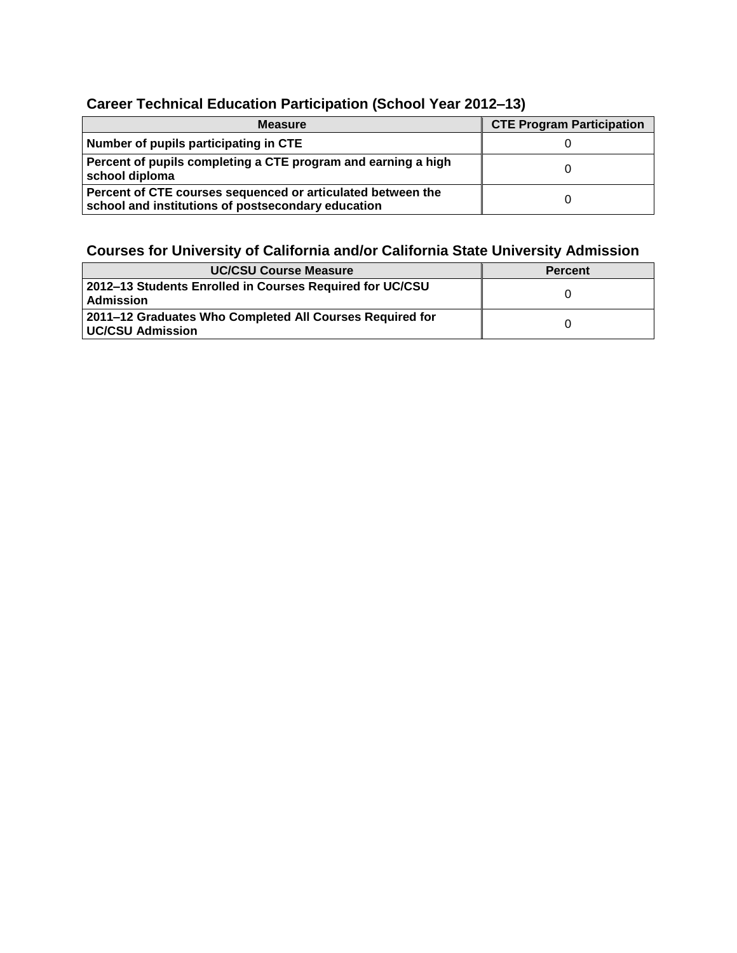## **Career Technical Education Participation (School Year 2012–13)**

| <b>Measure</b>                                                                                                    | <b>CTE Program Participation</b> |
|-------------------------------------------------------------------------------------------------------------------|----------------------------------|
| Number of pupils participating in CTE                                                                             |                                  |
| Percent of pupils completing a CTE program and earning a high<br>school diploma                                   |                                  |
| Percent of CTE courses sequenced or articulated between the<br>school and institutions of postsecondary education |                                  |

## **Courses for University of California and/or California State University Admission**

| <b>UC/CSU Course Measure</b>                                                     | <b>Percent</b> |
|----------------------------------------------------------------------------------|----------------|
| 2012–13 Students Enrolled in Courses Required for UC/CSU<br>  Admission          |                |
| ∣ 2011–12 Graduates Who Completed All Courses Required for<br>  UC/CSU Admission |                |